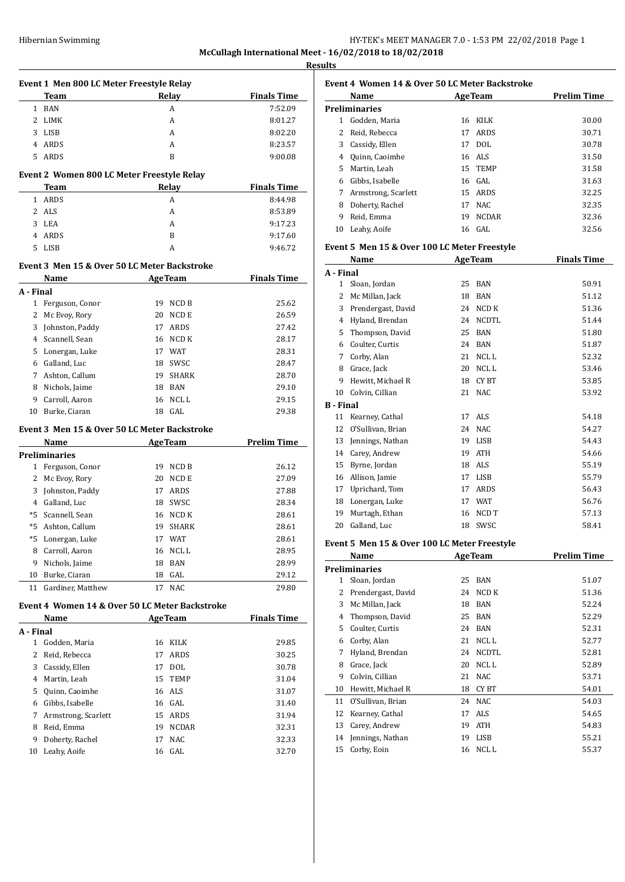| Hibernian Swimming | HY-TEK's MEET MANAGER 7.0 - 1:53 PM 22/02/2018 Page 1   |
|--------------------|---------------------------------------------------------|
|                    | McCullagh International Meet - 16/02/2018 to 18/02/2018 |

**Results**

|                | Event 1 Men 800 LC Meter Freestyle Relay             |                |              |                    |
|----------------|------------------------------------------------------|----------------|--------------|--------------------|
|                | Team                                                 |                | Relay        | <b>Finals Time</b> |
|                | 1 BAN                                                |                | А            | 7:52.09            |
| $\mathbf{2}$   | LIMK                                                 |                | A            | 8:01.27            |
| 3              | LISB                                                 |                | A            | 8:02.20            |
| 4              | ARDS                                                 |                | A            | 8:23.57            |
| 5              | ARDS                                                 |                | B            | 9:00.08            |
|                | Event 2 Women 800 LC Meter Freestyle Relay           |                |              |                    |
|                | Team                                                 |                | Relay        | <b>Finals Time</b> |
| 1              | ARDS                                                 |                | A            | 8:44.98            |
| 2              | ALS                                                  |                | A            | 8:53.89            |
| 3              | LEA                                                  |                | A            | 9:17.23            |
| 4              | ARDS                                                 |                | B            | 9:17.60            |
| 5.             | LISB                                                 |                | A            | 9:46.72            |
|                |                                                      |                |              |                    |
|                | Event 3 Men 15 & Over 50 LC Meter Backstroke<br>Name | <b>AgeTeam</b> |              | <b>Finals Time</b> |
| A - Final      |                                                      |                |              |                    |
|                | 1 Ferguson, Conor                                    | 19             | NCD B        | 25.62              |
| 2              | Mc Evoy, Rory                                        | 20             | NCD E        | 26.59              |
| 3              | Johnston, Paddy                                      | 17             | ARDS         | 27.42              |
| 4              | Scannell, Sean                                       | 16             | NCD K        | 28.17              |
|                | 5 Lonergan, Luke                                     | 17             | WAT          | 28.31              |
| 6              | Galland, Luc                                         | 18             | SWSC         | 28.47              |
|                | 7 Ashton, Callum                                     | 19             | SHARK        | 28.70              |
| 8              | Nichols, Jaime                                       | 18             | BAN          | 29.10              |
|                | 9 Carroll, Aaron                                     | 16             | NCL L        | 29.15              |
|                | 10 Burke, Ciaran                                     |                | 18 GAL       | 29.38              |
|                |                                                      |                |              |                    |
|                | Event 3 Men 15 & Over 50 LC Meter Backstroke<br>Name |                |              |                    |
|                | <b>Preliminaries</b>                                 | <b>AgeTeam</b> |              | <b>Prelim Time</b> |
| $\mathbf{1}$   | Ferguson, Conor                                      | 19             | NCD B        | 26.12              |
| 2              | Mc Evoy, Rory                                        | 20             | NCD E        | 27.09              |
| 3              | Johnston, Paddy                                      | 17             | ARDS         | 27.88              |
|                | 4 Galland, Luc                                       | 18             | SWSC         | 28.34              |
| *5             | Scannell, Sean                                       | 16             | NCD K        | 28.61              |
|                |                                                      | 19             | <b>SHARK</b> |                    |
|                | *5 Ashton, Callum                                    |                |              | 28.61              |
|                | *5 Lonergan, Luke                                    |                | 17 WAT       | 28.61              |
| 8              | Carroll, Aaron                                       | 16             | NCL L        | 28.95              |
| 9              | Nichols, Jaime                                       | 18             | <b>BAN</b>   | 28.99              |
| 10<br>11       | Burke, Ciaran<br>Gardiner, Matthew                   | 18<br>17       | GAL<br>NAC   | 29.12              |
|                |                                                      |                |              | 29.80              |
|                | Event 4 Women 14 & Over 50 LC Meter Backstroke       |                |              |                    |
|                | Name                                                 | <b>AgeTeam</b> |              | <b>Finals Time</b> |
| A - Final<br>1 | Godden, Maria                                        | 16             | KILK         | 29.85              |
| 2              | Reid, Rebecca                                        | 17             | ARDS         | 30.25              |
| 3              | Cassidy, Ellen                                       | 17             | <b>DOL</b>   | 30.78              |
|                | Martin, Leah                                         |                |              |                    |
| 4              |                                                      | 15             | <b>TEMP</b>  | 31.04              |
| 5              | Quinn, Caoimhe                                       | 16             | ALS          | 31.07              |
| 6              | Gibbs, Isabelle                                      | 16             | GAL          | 31.40              |
| 7              | Armstrong, Scarlett                                  | 15             | ARDS         | 31.94              |
| 8              | Reid, Emma                                           | 19             | NCDAR        | 32.31              |
| 9              | Doherty, Rachel                                      | 17             | NAC          | 32.33              |
| 10             | Leahy, Aoife                                         | 16             | GAL          | 32.70              |

|    | Event 4 Women 14 & Over 50 LC Meter Backstroke |    |                |                    |
|----|------------------------------------------------|----|----------------|--------------------|
|    | Name                                           |    | <b>AgeTeam</b> | <b>Prelim Time</b> |
|    | Preliminaries                                  |    |                |                    |
| 1  | Godden, Maria                                  |    | 16 KILK        | 30.00              |
| 2  | Reid, Rebecca                                  | 17 | ARDS           | 30.71              |
| 3  | Cassidy, Ellen                                 | 17 | DOL.           | 30.78              |
| 4  | Quinn, Caoimhe                                 |    | 16 ALS         | 31.50              |
| 5  | Martin, Leah                                   |    | 15 TEMP        | 31.58              |
| 6  | Gibbs, Isabelle                                |    | 16 GAL         | 31.63              |
| 7  | Armstrong, Scarlett                            |    | 15 ARDS        | 32.25              |
| 8  | Doherty, Rachel                                | 17 | NAC.           | 32.35              |
| 9  | Reid, Emma                                     | 19 | <b>NCDAR</b>   | 32.36              |
| 10 | Leahy, Aoife                                   |    | 16 GAL         | 32.56              |

## **Event 5 Men 15 & Over 100 LC Meter Freestyle**

|                  | Name               |    | <b>AgeTeam</b>   | <b>Finals Time</b> |
|------------------|--------------------|----|------------------|--------------------|
| A - Final        |                    |    |                  |                    |
| 1                | Sloan, Jordan      | 25 | <b>BAN</b>       | 50.91              |
| 2                | Mc Millan, Jack    | 18 | <b>BAN</b>       | 51.12              |
| 3                | Prendergast, David | 24 | NCD K            | 51.36              |
| 4                | Hyland, Brendan    | 24 | <b>NCDTL</b>     | 51.44              |
| 5                | Thompson, David    | 25 | <b>BAN</b>       | 51.80              |
| 6                | Coulter, Curtis    | 24 | <b>BAN</b>       | 51.87              |
| 7                | Corby, Alan        | 21 | NCL <sub>L</sub> | 52.32              |
| 8                | Grace, Jack        | 20 | <b>NCLL</b>      | 53.46              |
| 9                | Hewitt, Michael R  | 18 | CY BT            | 53.85              |
| 10               | Colvin, Cillian    | 21 | <b>NAC</b>       | 53.92              |
| <b>B</b> - Final |                    |    |                  |                    |
| 11               | Kearney, Cathal    | 17 | ALS              | 54.18              |
| 12               | O'Sullivan, Brian  | 24 | <b>NAC</b>       | 54.27              |
| 13               | Jennings, Nathan   | 19 | <b>LISB</b>      | 54.43              |
| 14               | Carey, Andrew      | 19 | <b>ATH</b>       | 54.66              |
| 15               | Byrne, Jordan      | 18 | ALS              | 55.19              |
| 16               | Allison, Jamie     | 17 | <b>LISB</b>      | 55.79              |
| 17               | Uprichard, Tom     | 17 | ARDS             | 56.43              |
| 18               | Lonergan, Luke     | 17 | <b>WAT</b>       | 56.76              |
| 19               | Murtagh, Ethan     | 16 | NCD T            | 57.13              |
| 20               | Galland, Luc       | 18 | SWSC             | 58.41              |

## **Event 5 Men 15 & Over 100 LC Meter Freestyle**

|    | Name                 | <b>AgeTeam</b>     | <b>Prelim Time</b> |
|----|----------------------|--------------------|--------------------|
|    | <b>Preliminaries</b> |                    |                    |
| 1  | Sloan, Jordan        | <b>BAN</b><br>25   | 51.07              |
| 2  | Prendergast, David   | NCD K<br>24        | 51.36              |
| 3  | Mc Millan, Jack      | BAN<br>18          | 52.24              |
| 4  | Thompson, David      | BAN<br>25          | 52.29              |
| 5. | Coulter, Curtis      | BAN<br>24          | 52.31              |
| 6  | Corby, Alan          | NCL L<br>21        | 52.77              |
| 7  | Hyland, Brendan      | <b>NCDTL</b><br>24 | 52.81              |
| 8  | Grace, Jack          | NCL L<br>20        | 52.89              |
| 9  | Colvin, Cillian      | NAC.<br>21         | 53.71              |
| 10 | Hewitt, Michael R    | CY BT<br>18        | 54.01              |
| 11 | O'Sullivan, Brian    | NAC<br>24          | 54.03              |
| 12 | Kearney, Cathal      | ALS.<br>17         | 54.65              |
| 13 | Carey, Andrew        | <b>ATH</b><br>19   | 54.83              |
| 14 | Jennings, Nathan     | LISB<br>19         | 55.21              |
| 15 | Corby, Eoin          | NCL L<br>16        | 55.37              |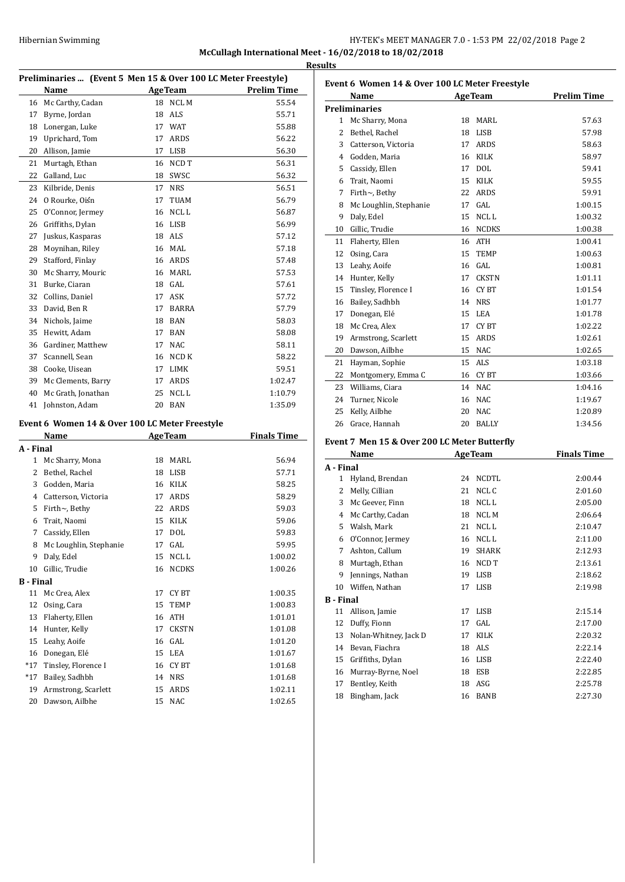## Hibernian Swimming HY-TEK's MEET MANAGER 7.0 - 1:53 PM 22/02/2018 Page 2 **McCullagh International Meet - 16/02/2018 to 18/02/2018 Results**

**Preliminaries ... (Event 5 Men 15 & Over 100 LC Meter Freestyle) Name Age Team Prelim Time** 16 Mc Carthy, Cadan 18 NCL M 55.54 17 Byrne, Jordan 18 ALS 55.71 18 Lonergan, Luke 17 WAT 55.88 Uprichard, Tom 17 ARDS 56.22 Allison, Jamie 17 LISB 56.30 21 Murtagh, Ethan 16 NCD T 56.31 22 Galland, Luc 18 SWSC 56.32 23 Kilbride, Denis 17 NRS 56.51 O Rourke, Oisín 17 TUAM 56.79 25 O'Connor, Jermey 16 NCL L 56.87 26 Griffiths, Dylan 16 LISB 56.99 Juskus, Kasparas 18 ALS 57.12 Moynihan, Riley 16 MAL 57.18 29 Stafford, Finlay 16 ARDS 57.48 Mc Sharry, Mouric 16 MARL 57.53 Burke, Ciaran 18 GAL 57.61 32 Collins, Daniel 17 ASK 57.72 David, Ben R 17 BARRA 57.79 Nichols, Jaime 18 BAN 58.03 Hewitt, Adam 17 BAN 58.08 Gardiner, Matthew 17 NAC 58.11 37 Scannell, Sean 16 NCD K 58.22 38 Cooke, Uisean 17 LIMK 59.51 39 Mc Clements, Barry 17 ARDS 1:02.47 40 Mc Grath, Jonathan 25 NCL L 1:10.79 Johnston, Adam 20 BAN 1:35.09 **Event 6 Women 14 & Over 100 LC Meter Freestyle Name Age Team Finals Time A - Final** 1 Mc Sharry, Mona 18 MARL 56.94 2 Bethel, Rachel 18 LISB 57.71 Godden, Maria 16 KILK 58.25 Catterson, Victoria 17 ARDS 58.29 Firth~, Bethy 22 ARDS 59.03 Trait, Naomi 15 KILK 59.06 Cassidy, Ellen 17 DOL 59.83 8 Mc Loughlin, Stephanie 17 GAL 59.95 9 Daly, Edel 15 NCL L 1:00.02 Gillic, Trudie 16 NCDKS 1:00.26 **B - Final** 11 Mc Crea, Alex 17 CY BT 1:00.35 Osing, Cara 15 TEMP 1:00.83 Flaherty, Ellen 16 ATH 1:01.01 Hunter, Kelly 17 CKSTN 1:01.08 Leahy, Aoife 16 GAL 1:01.20 16 Donegan, Elé 15 LEA 1:01.67 \*17 Tinsley, Florence I 16 CY BT 1:01.68 \*17 Bailey, Sadhbh 14 NRS 1:01.68

19 Armstrong, Scarlett 15 ARDS 1:02.11 Dawson, Ailbhe 15 NAC 1:02.65

|              | Name                   |    | <b>AgeTeam</b>   | <b>Prelim Time</b> |
|--------------|------------------------|----|------------------|--------------------|
|              | Preliminaries          |    |                  |                    |
| $\mathbf{1}$ | Mc Sharry, Mona        | 18 | MARI.            | 57.63              |
| 2            | Bethel, Rachel         | 18 | LISB             | 57.98              |
| 3            | Catterson, Victoria    | 17 | <b>ARDS</b>      | 58.63              |
| 4            | Godden. Maria          | 16 | <b>KILK</b>      | 58.97              |
| 5            | Cassidy, Ellen         | 17 | DOL              | 59.41              |
| 6            | Trait. Naomi           | 15 | <b>KILK</b>      | 59.55              |
| 7            | Firth $\sim$ , Bethy   | 22 | <b>ARDS</b>      | 59.91              |
| 8            | Mc Loughlin, Stephanie | 17 | GAL              | 1:00.15            |
| 9            | Daly, Edel             | 15 | NCL <sub>L</sub> | 1:00.32            |
| 10           | Gillic, Trudie         | 16 | <b>NCDKS</b>     | 1:00.38            |
| 11           | Flaherty, Ellen        | 16 | <b>ATH</b>       | 1:00.41            |
| 12           | Osing, Cara            | 15 | <b>TEMP</b>      | 1:00.63            |
| 13           | Leahy, Aoife           | 16 | GAL.             | 1:00.81            |
| 14           | Hunter, Kelly          | 17 | <b>CKSTN</b>     | 1:01.11            |
| 15           | Tinsley, Florence I    | 16 | CY BT            | 1:01.54            |
| 16           | Bailey, Sadhbh         | 14 | <b>NRS</b>       | 1:01.77            |
| 17           | Donegan, Elé           | 15 | <b>LEA</b>       | 1:01.78            |
| 18           | Mc Crea, Alex          | 17 | <b>CYBT</b>      | 1:02.22            |
| 19           | Armstrong, Scarlett    | 15 | ARDS             | 1:02.61            |
| 20           | Dawson, Ailbhe         | 15 | <b>NAC</b>       | 1:02.65            |
| 21           | Hayman, Sophie         | 15 | <b>ALS</b>       | 1:03.18            |
| 22           | Montgomery, Emma C     | 16 | CY BT            | 1:03.66            |
| 23           | Williams, Ciara        | 14 | NAC              | 1:04.16            |
| 24           | Turner, Nicole         | 16 | <b>NAC</b>       | 1:19.67            |
| 25           | Kelly, Ailbhe          | 20 | <b>NAC</b>       | 1:20.89            |
| 26           | Grace, Hannah          | 20 | <b>BALLY</b>     | 1:34.56            |
|              |                        |    |                  |                    |

## **Event 7 Men 15 & Over 200 LC Meter Butterfly**

|           | Name                  |    | <b>AgeTeam</b>   | <b>Finals Time</b> |
|-----------|-----------------------|----|------------------|--------------------|
| A - Final |                       |    |                  |                    |
| 1         | Hyland, Brendan       | 24 | <b>NCDTL</b>     | 2:00.44            |
| 2         | Melly, Cillian        | 21 | NCL C            | 2:01.60            |
| 3         | Mc Geever, Finn       | 18 | NCL L            | 2:05.00            |
| 4         | Mc Carthy, Cadan      | 18 | <b>NCLM</b>      | 2:06.64            |
| 5         | Walsh, Mark           | 21 | NCL <sub>L</sub> | 2:10.47            |
| 6         | O'Connor, Jermey      | 16 | NCL L            | 2:11.00            |
| 7         | Ashton, Callum        | 19 | <b>SHARK</b>     | 2:12.93            |
| 8         | Murtagh, Ethan        | 16 | NCD T            | 2:13.61            |
| 9         | Jennings, Nathan      | 19 | <b>LISB</b>      | 2:18.62            |
| 10        | Wiffen, Nathan        | 17 | <b>LISB</b>      | 2:19.98            |
| B - Final |                       |    |                  |                    |
| 11        | Allison, Jamie        | 17 | <b>LISB</b>      | 2:15.14            |
| 12        | Duffy, Fionn          | 17 | GAL.             | 2:17.00            |
| 13        | Nolan-Whitney, Jack D | 17 | <b>KILK</b>      | 2:20.32            |
| 14        | Bevan, Fiachra        | 18 | ALS              | 2:22.14            |
| 15        | Griffiths, Dylan      | 16 | LISB             | 2:22.40            |
| 16        | Murray-Byrne, Noel    | 18 | ESB              | 2:22.85            |
| 17        | Bentley, Keith        | 18 | ASG              | 2:25.78            |
| 18        | Bingham, Jack         | 16 | <b>BANB</b>      | 2:27.30            |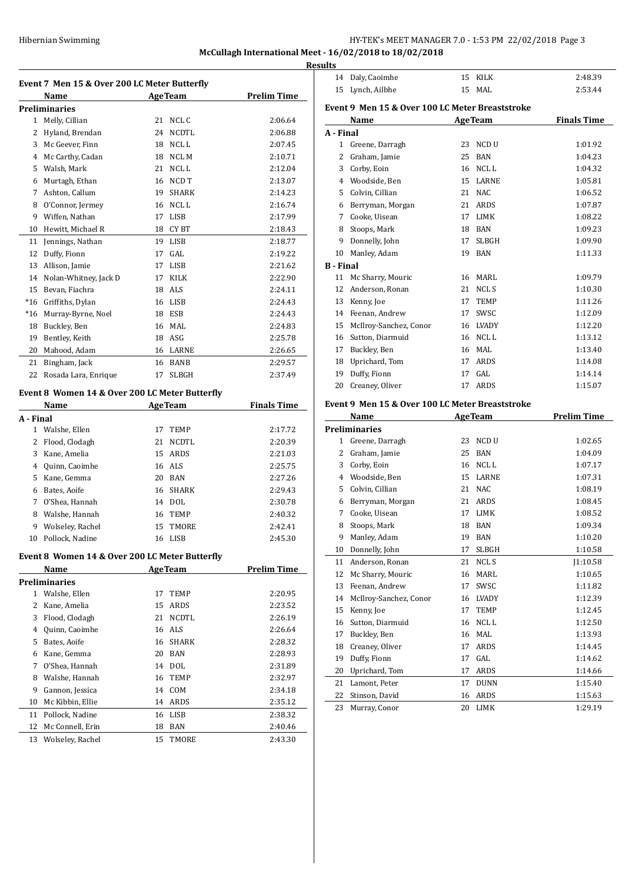**McCullagh International Meet - 16/02/2018 to 18/02/2018**

|              | Name                  |    | <b>AgeTeam</b>   | Prelim Time |
|--------------|-----------------------|----|------------------|-------------|
|              | <b>Preliminaries</b>  |    |                  |             |
|              |                       |    |                  |             |
| $\mathbf{1}$ | Melly, Cillian        | 21 | NCL C            | 2:06.64     |
| 2            | Hyland, Brendan       | 24 | <b>NCDTL</b>     | 2:06.88     |
| 3            | Mc Geever, Finn       | 18 | NCL L            | 2:07.45     |
| 4            | Mc Carthy, Cadan      | 18 | NCL M            | 2:10.71     |
| 5            | Walsh, Mark           | 21 | NCL L            | 2:12.04     |
| 6            | Murtagh, Ethan        | 16 | NCD T            | 2:13.07     |
| 7            | Ashton, Callum        | 19 | <b>SHARK</b>     | 2:14.23     |
| 8            | O'Connor, Jermey      | 16 | NCL <sub>L</sub> | 2:16.74     |
| 9            | Wiffen, Nathan        | 17 | <b>LISB</b>      | 2:17.99     |
| 10           | Hewitt, Michael R     | 18 | CY BT            | 2:18.43     |
| 11           | Jennings, Nathan      | 19 | <b>LISB</b>      | 2:18.77     |
| 12           | Duffy, Fionn          | 17 | GAL.             | 2:19.22     |
| 13           | Allison, Jamie        | 17 | <b>LISB</b>      | 2:21.62     |
| 14           | Nolan-Whitney, Jack D | 17 | <b>KILK</b>      | 2:22.90     |
| 15           | Bevan, Fiachra        | 18 | <b>ALS</b>       | 2:24.11     |
| $*16$        | Griffiths, Dylan      | 16 | <b>LISB</b>      | 2:24.43     |
| $*16$        | Murray-Byrne, Noel    | 18 | <b>ESB</b>       | 2:24.43     |
| 18           | Buckley, Ben          | 16 | MAL              | 2:24.83     |
| 19           | Bentley, Keith        | 18 | <b>ASG</b>       | 2:25.78     |
| 20           | Mahood, Adam          | 16 | LARNE            | 2:26.65     |
| 21           | Bingham, Jack         | 16 | <b>BANB</b>      | 2:29.57     |
| 22           | Rosada Lara, Enrique  | 17 | <b>SLBGH</b>     | 2:37.49     |

# **Event 8 Women 14 & Over 200 LC Meter Butterfly**

|           | Name             |    | <b>AgeTeam</b> | <b>Finals Time</b> |
|-----------|------------------|----|----------------|--------------------|
| A - Final |                  |    |                |                    |
|           | Walshe, Ellen    | 17 | <b>TEMP</b>    | 2:17.72            |
| 2         | Flood, Clodagh   | 21 | <b>NCDTL</b>   | 2:20.39            |
| 3         | Kane, Amelia     |    | 15 ARDS        | 2:21.03            |
| 4         | Quinn, Caoimhe   |    | 16 ALS         | 2:25.75            |
| 5         | Kane, Gemma      | 20 | <b>BAN</b>     | 2:27.26            |
| 6         | Bates, Aoife     | 16 | SHARK          | 2:29.43            |
| 7         | O'Shea, Hannah   | 14 | DOL.           | 2:30.78            |
| 8         | Walshe. Hannah   | 16 | TEMP           | 2:40.32            |
| 9         | Wolseley, Rachel |    | 15 TMORE       | 2:42.41            |
| 10        | Pollock, Nadine  | 16 | LISB           | 2:45.30            |

## **Event 8 Women 14 & Over 200 LC Meter Butterfly**

|    | Name             |    | <b>AgeTeam</b> | <b>Prelim Time</b> |
|----|------------------|----|----------------|--------------------|
|    | Preliminaries    |    |                |                    |
| 1  | Walshe, Ellen    | 17 | <b>TEMP</b>    | 2:20.95            |
| 2  | Kane, Amelia     | 15 | ARDS           | 2:23.52            |
| 3  | Flood, Clodagh   | 21 | NCDTL          | 2:26.19            |
| 4  | Quinn, Caoimhe   |    | 16 ALS         | 2:26.64            |
| 5  | Bates, Aoife     | 16 | SHARK          | 2:28.32            |
| 6  | Kane, Gemma      | 20 | <b>BAN</b>     | 2:28.93            |
| 7  | O'Shea, Hannah   | 14 | DOL            | 2:31.89            |
| 8  | Walshe, Hannah   | 16 | TEMP           | 2:32.97            |
| 9  | Gannon, Jessica  | 14 | COM            | 2:34.18            |
| 10 | Mc Kibbin, Ellie | 14 | ARDS           | 2:35.12            |
| 11 | Pollock, Nadine  | 16 | <b>LISB</b>    | 2:38.32            |
| 12 | Mc Connell, Erin | 18 | BAN            | 2:40.46            |
| 13 | Wolseley, Rachel | 15 | TMORE          | 2:43.30            |

| <b>Results</b>   |                                                 |          |                |                    |
|------------------|-------------------------------------------------|----------|----------------|--------------------|
|                  | 14 Daly, Caoimhe                                |          | 15 KILK        | 2:48.39            |
| 15               | Lynch, Ailbhe                                   |          | 15 MAL         | 2:53.44            |
|                  | Event 9 Men 15 & Over 100 LC Meter Breaststroke |          |                |                    |
|                  | Name                                            |          | <b>AgeTeam</b> | <b>Finals Time</b> |
| A - Final        |                                                 |          |                |                    |
|                  | 1 Greene, Darragh                               | 23       | NCD U          | 1:01.92            |
|                  | 2 Graham, Jamie                                 | 25       | <b>BAN</b>     | 1:04.23            |
|                  | 3 Corby, Eoin                                   |          | 16 NCLL        | 1:04.32            |
|                  | 4 Woodside, Ben                                 |          | 15 LARNE       | 1:05.81            |
|                  | 5 Colvin, Cillian                               |          | 21 NAC         | 1:06.52            |
|                  | 6 Berryman, Morgan                              |          | 21 ARDS        | 1:07.87            |
|                  | 7 Cooke, Uisean                                 |          | 17 LIMK        | 1:08.22            |
|                  | 8 Stoops, Mark                                  |          | 18 BAN         | 1:09.23            |
|                  | 9 Donnelly, John                                | 17       | SLBGH          | 1:09.90            |
|                  | 10 Manley, Adam                                 |          | 19 BAN         | 1:11.33            |
| <b>B</b> - Final |                                                 |          |                |                    |
| 11               | Mc Sharry, Mouric                               |          | 16 MARL        | 1:09.79            |
|                  | 12 Anderson, Ronan                              |          | 21 NCLS        | 1:10.30            |
|                  | 13 Kenny, Joe                                   |          | 17 TEMP        | 1:11.26            |
|                  | 14 Feenan, Andrew                               |          | 17 SWSC        | 1:12.09            |
|                  | 15 McIlroy-Sanchez, Conor                       |          | 16 LVADY       | 1:12.20            |
|                  | 16 Sutton, Diarmuid                             |          | 16 NCLL        | 1:13.12            |
|                  | 17 Buckley, Ben                                 |          | 16 MAL         | 1:13.40            |
|                  | 18 Uprichard, Tom                               |          | 17 ARDS        | 1:14.08            |
| 19               | Duffy, Fionn                                    |          | 17 GAL         | 1:14.14            |
| 20               | Creaney, Oliver                                 |          | 17 ARDS        | 1:15.07            |
|                  |                                                 |          |                |                    |
|                  | Event 9 Men 15 & Over 100 LC Meter Breaststroke |          |                |                    |
|                  | Name<br><b>Preliminaries</b>                    |          | <b>AgeTeam</b> | <b>Prelim Time</b> |
|                  | 1 Greene, Darragh                               | 23       | NCD U          | 1:02.65            |
|                  | 2 Graham, Jamie                                 |          | 25 BAN         | 1:04.09            |
|                  | 3 Corby, Eoin                                   |          | 16 NCLL        | 1:07.17            |
|                  | 4 Woodside, Ben                                 |          | 15 LARNE       | 1:07.31            |
|                  | 5 Colvin, Cillian                               |          | 21 NAC         | 1:08.19            |
|                  | 6 Berryman, Morgan                              |          | 21 ARDS        |                    |
| 7                | Cooke, Uisean                                   |          | 17 LIMK        | 1:08.45<br>1:08.52 |
| 8                | Stoops, Mark                                    |          | 18 BAN         | 1:09.34            |
| 9                |                                                 |          |                |                    |
| 10               | Manley, Adam<br>Donnelly, John                  | 19<br>17 | BAN<br>SLBGH   | 1:10.20            |
|                  |                                                 |          |                | 1:10.58            |
| 11               | Anderson, Ronan                                 | 21       | NCL S          | J1:10.58           |
| 12               | Mc Sharry, Mouric                               | 16       | MARL           | 1:10.65            |
| 13               | Feenan, Andrew                                  | 17       | SWSC           | 1:11.82            |
| 14               | McIlroy-Sanchez, Conor                          | 16       | LVADY          | 1:12.39            |
| 15               | Kenny, Joe                                      | 17       | TEMP           | 1:12.45            |
| 16               | Sutton, Diarmuid                                | 16       | NCL L          | 1:12.50            |
| 17               | Buckley, Ben                                    | 16       | <b>MAL</b>     | 1:13.93            |
| 18               | Creaney, Oliver                                 | 17       | ARDS           | 1:14.45            |
| 19               | Duffy, Fionn                                    | 17       | GAL            | 1:14.62            |
| 20               | Uprichard, Tom                                  | 17       | ARDS           | 1:14.66            |
| 21               | Lamont, Peter                                   | 17       | ${\tt DUNN}$   | 1:15.40            |
| 22               | Stinson, David                                  | 16       | ARDS           | 1:15.63            |

Murray, Conor 20 LIMK 1:29.19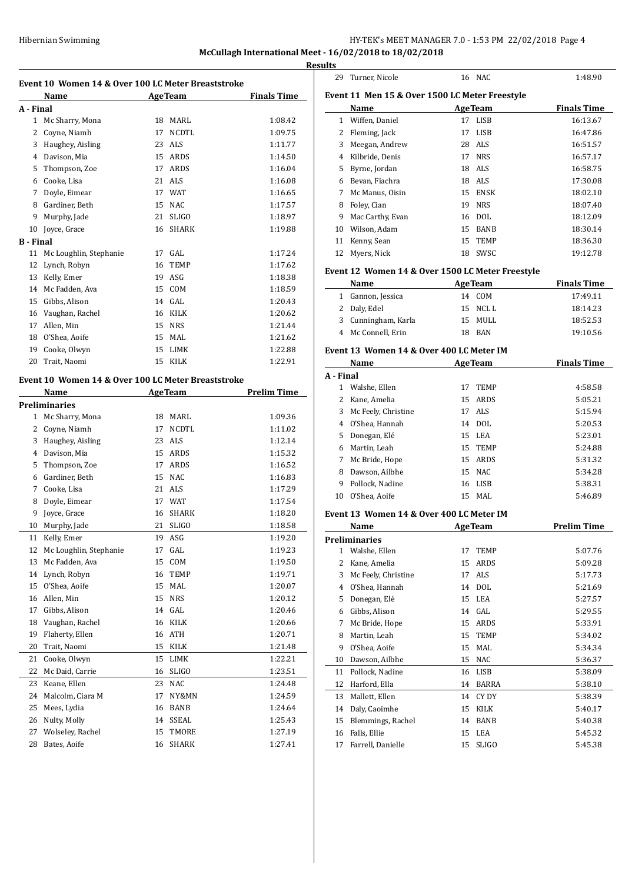**McCullagh International Meet - 16/02/2018 to 18/02/2018**

|                  |                                                            |          |                     |                    | <b>Results</b> |
|------------------|------------------------------------------------------------|----------|---------------------|--------------------|----------------|
|                  | Event 10 Women 14 & Over 100 LC Meter Breaststroke<br>Name |          | <b>AgeTeam</b>      | <b>Finals Time</b> | Eve            |
| A - Final        |                                                            |          |                     |                    |                |
|                  | 1 Mc Sharry, Mona                                          |          | 18 MARL             | 1:08.42            |                |
| 2                | Coyne, Niamh                                               | 17       | NCDTL               | 1:09.75            |                |
|                  | 3 Haughey, Aisling                                         |          | 23 ALS              | 1:11.77            |                |
|                  | 4 Davison, Mia                                             |          | 15 ARDS             | 1:14.50            |                |
| 5                | Thompson, Zoe                                              |          | 17 ARDS             | 1:16.04            |                |
| 6                | Cooke, Lisa                                                |          | 21 ALS              | 1:16.08            |                |
| 7                | Doyle, Eimear                                              |          | 17 WAT              | 1:16.65            |                |
| 8                | Gardiner, Beth                                             |          | 15 NAC              | 1:17.57            |                |
| 9                | Murphy, Jade                                               | 21       | <b>SLIGO</b>        | 1:18.97            |                |
| 10               | Joyce, Grace                                               |          | 16 SHARK            | 1:19.88            | 1              |
| <b>B</b> - Final |                                                            |          |                     |                    | 1              |
| 11               | Mc Loughlin, Stephanie                                     |          | 17 GAL              | 1:17.24            | 1              |
| 12               | Lynch, Robyn                                               | 16       | TEMP                | 1:17.62            |                |
|                  | 13 Kelly, Emer                                             |          | 19 ASG              | 1:18.38            | Eve            |
|                  | 14 Mc Fadden, Ava                                          |          | 15 COM              | 1:18.59            |                |
| 15               | Gibbs, Alison                                              |          | 14 GAL              | 1:20.43            |                |
|                  | 16 Vaughan, Rachel                                         |          | 16 KILK             | 1:20.62            |                |
| 17               | Allen, Min                                                 |          | 15 NRS              | 1:21.44            |                |
|                  | 18 O'Shea, Aoife                                           |          | 15 MAL              | 1:21.62            |                |
| 19               | Cooke, Olwyn                                               |          | 15 LIMK             | 1:22.88            | Eve            |
| 20               | Trait, Naomi                                               |          | 15 KILK             | 1:22.91            |                |
|                  |                                                            |          |                     |                    | $A -$          |
|                  | Event 10 Women 14 & Over 100 LC Meter Breaststroke         |          |                     |                    |                |
|                  | Name<br><b>Example 2.1 Age Team</b>                        |          |                     | <b>Prelim Time</b> |                |
|                  | <b>Preliminaries</b>                                       |          |                     |                    |                |
|                  | 1 Mc Sharry, Mona                                          |          | 18 MARL             | 1:09.36            |                |
|                  | 2 Coyne, Niamh                                             | 17<br>23 | <b>NCDTL</b><br>ALS | 1:11.02<br>1:12.14 |                |
|                  | 3 Haughey, Aisling                                         |          | 15 ARDS             | 1:15.32            |                |
|                  | 4 Davison, Mia                                             |          | 17 ARDS             | 1:16.52            |                |
| 5                | Thompson, Zoe<br>6 Gardiner, Beth                          |          | 15 NAC              | 1:16.83            |                |
|                  | 7 Cooke, Lisa                                              |          | 21 ALS              | 1:17.29            |                |
|                  | Doyle, Eimear                                              |          | 17 WAT              |                    | 1              |
| 8<br>9           | Joyce, Grace                                               | 16       | SHARK               | 1:17.54<br>1:18.20 |                |
| 10               | Murphy, Jade                                               | 21       | <b>SLIGO</b>        | 1:18.58            | Eve            |
|                  | Kelly, Emer                                                |          | ASG                 |                    |                |
| 11<br>12         | Mc Loughlin, Stephanie                                     | 19<br>17 | GAL                 | 1:19.20            | Pre            |
| 13               | Mc Fadden, Ava                                             | 15       | COM                 | 1:19.23<br>1:19.50 |                |
| 14               | Lynch, Robyn                                               | 16       | TEMP                | 1:19.71            |                |
| 15               | O'Shea, Aoife                                              | 15       | MAL                 | 1:20.07            |                |
| 16               | Allen, Min                                                 | 15       | <b>NRS</b>          | 1:20.12            |                |
| 17               | Gibbs, Alison                                              | 14       | GAL                 | 1:20.46            |                |
|                  | Vaughan, Rachel                                            |          | 16 KILK             | 1:20.66            |                |
| 18<br>19         | Flaherty, Ellen                                            | 16       | ATH                 | 1:20.71            |                |
| 20               | Trait, Naomi                                               | 15       | KILK                | 1:21.48            |                |
| 21               | Cooke, Olwyn                                               | 15       | LIMK                | 1:22.21            |                |
|                  |                                                            |          |                     |                    | 1              |
| 22<br>23         | Mc Daid, Carrie                                            | 16       | SLIGO               | 1:23.51            | 1              |
|                  | Keane, Ellen<br>Malcolm, Ciara M                           | 23       | NAC                 | 1:24.48            | 1              |
| 24               |                                                            | 17       | NY&MN               | 1:24.59            | 1              |
| 25               | Mees, Lydia                                                | 16       | BANB                | 1:24.64            | 1              |
| 26<br>27         | Nulty, Molly<br>Wolseley, Rachel                           | 14       | SSEAL<br>TMORE      | 1:25.43            | 1              |
| 28               | Bates, Aoife                                               | 15<br>16 | SHARK               | 1:27.19<br>1:27.41 | 1              |
|                  |                                                            |          |                     |                    | 1              |

| 29        | Turner, Nicole                                   |    | 16 NAC            | 1:48.90            |  |  |
|-----------|--------------------------------------------------|----|-------------------|--------------------|--|--|
|           | Event 11 Men 15 & Over 1500 LC Meter Freestyle   |    |                   |                    |  |  |
|           | Name                                             |    | <b>AgeTeam</b>    | <b>Finals Time</b> |  |  |
|           | 1 Wiffen, Daniel                                 |    | 17 LISB           | 16:13.67           |  |  |
|           | 2 Fleming, Jack                                  | 17 | LISB              | 16:47.86           |  |  |
|           | 3 Meegan, Andrew                                 |    | 28 ALS            | 16:51.57           |  |  |
|           | 4 Kilbride, Denis                                |    | 17 NRS            | 16:57.17           |  |  |
| 5         | Byrne, Jordan                                    |    | 18 ALS            | 16:58.75           |  |  |
|           | 6 Bevan, Fiachra                                 |    | 18 ALS            | 17:30.08           |  |  |
| 7         | Mc Manus, Oisin                                  |    | 15 ENSK           | 18:02.10           |  |  |
| 8         | Foley, Cian                                      |    | 19 NRS            | 18:07.40           |  |  |
| 9         | Mac Carthy, Evan                                 |    | 16 DOL            | 18:12.09           |  |  |
| 10        | Wilson, Adam                                     |    | 15 BANB           | 18:30.14           |  |  |
| 11        | Kenny, Sean                                      | 15 | TEMP              | 18:36.30           |  |  |
| 12        | Myers, Nick                                      |    | 18 SWSC           | 19:12.78           |  |  |
|           | Event 12 Women 14 & Over 1500 LC Meter Freestyle |    |                   |                    |  |  |
|           | Name                                             |    | <b>AgeTeam</b>    | <b>Finals Time</b> |  |  |
|           | 1 Gannon, Jessica                                |    | 14 COM            | 17:49.11           |  |  |
|           | 2 Daly, Edel                                     |    | 15 NCLL           | 18:14.23           |  |  |
|           | 3 Cunningham, Karla                              |    | 15 MULL           | 18:52.53           |  |  |
|           | 4 Mc Connell, Erin                               |    | 18 BAN            | 19:10.56           |  |  |
|           | Event 13 Women 14 & Over 400 LC Meter IM         |    |                   |                    |  |  |
|           | Name                                             |    | <b>AgeTeam</b>    | <b>Finals Time</b> |  |  |
| A - Final |                                                  |    |                   |                    |  |  |
| 1         | Walshe, Ellen                                    | 17 | <b>TEMP</b>       | 4:58.58            |  |  |
|           | 2 Kane, Amelia                                   |    | 15 ARDS           | 5:05.21            |  |  |
| 3         | Mc Feely, Christine                              |    | 17 ALS            | 5:15.94            |  |  |
|           | 4 O'Shea, Hannah                                 |    | 14 DOL            |                    |  |  |
| 5         | Donegan, Elé                                     |    | 15 LEA            | 5:20.53<br>5:23.01 |  |  |
|           |                                                  |    | 15 TEMP           |                    |  |  |
|           | 6 Martin, Leah<br>7 Mc Bride, Hope               |    | 15 ARDS           | 5:24.88<br>5:31.32 |  |  |
| 8         |                                                  |    | 15 NAC            |                    |  |  |
|           | Dawson, Ailbhe                                   |    |                   | 5:34.28            |  |  |
| 9.<br>10  | Pollock, Nadine<br>O'Shea, Aoife                 |    | 16 LISB<br>15 MAL | 5:38.31<br>5:46.89 |  |  |
|           |                                                  |    |                   |                    |  |  |
|           | Event 13 Women 14 & Over 400 LC Meter IM<br>Name |    | <b>AgeTeam</b>    | <b>Prelim Time</b> |  |  |
|           | <b>Preliminaries</b>                             |    |                   |                    |  |  |
| 1         | Walshe, Ellen                                    | 17 | TEMP              | 5:07.76            |  |  |
| 2         | Kane, Amelia                                     | 15 | ARDS              | 5:09.28            |  |  |
| 3         | Mc Feely, Christine                              | 17 | ALS               | 5:17.73            |  |  |
| 4         | O'Shea, Hannah                                   | 14 | <b>DOL</b>        | 5:21.69            |  |  |
| 5         | Donegan, Elé                                     | 15 | LEA               | 5:27.57            |  |  |
| 6         | Gibbs, Alison                                    | 14 | GAL               | 5:29.55            |  |  |
| 7         | Mc Bride, Hope                                   | 15 | ARDS              | 5:33.91            |  |  |
| 8         | Martin, Leah                                     | 15 | TEMP              | 5:34.02            |  |  |
| 9         | O'Shea, Aoife                                    | 15 | MAL               | 5:34.34            |  |  |
| 10        | Dawson, Ailbhe                                   | 15 | NAC               | 5:36.37            |  |  |
| 11        | Pollock, Nadine                                  | 16 | LISB              | 5:38.09            |  |  |
| 12        | Harford, Ella                                    | 14 | BARRA             | 5:38.10            |  |  |
| 13        | Mallett, Ellen                                   | 14 | CY DY             | 5:38.39            |  |  |
| 14        | Daly, Caoimhe                                    | 15 | KILK              | 5:40.17            |  |  |
| 15        | Blemmings, Rachel                                | 14 | BANB              | 5:40.38            |  |  |
| 16        | Falls, Ellie                                     | 15 | LEA               | 5:45.32            |  |  |
| 17        | Farrell, Danielle                                | 15 | SLIGO             | 5:45.38            |  |  |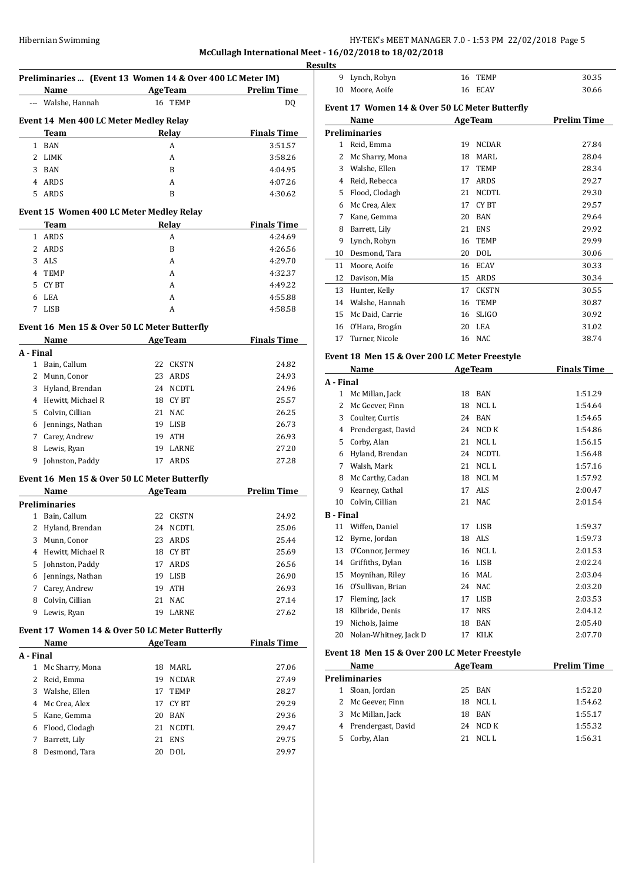# **McCullagh International Meet - 16/02/2018 to 18/02/2018**

|              | Preliminaries  (Event 13 Women 14 & Over 400 LC Meter IM)<br>Name |                          | Age Team       | <b>Prelim Time</b> |
|--------------|-------------------------------------------------------------------|--------------------------|----------------|--------------------|
|              | --- Walshe, Hannah                                                |                          | 16 TEMP        | DQ                 |
|              |                                                                   |                          |                |                    |
|              | Event 14 Men 400 LC Meter Medley Relay                            |                          |                |                    |
|              | Team                                                              |                          | Relay          | <b>Finals Time</b> |
|              | 1 BAN                                                             |                          | A              | 3:51.57            |
| 2            | LIMK                                                              |                          | A              | 3:58.26            |
| 3            | BAN                                                               |                          | B              | 4:04.95            |
|              | 4 ARDS                                                            |                          | A              | 4:07.26            |
| 5            | ARDS                                                              |                          | B              | 4:30.62            |
|              | Event 15 Women 400 LC Meter Medley Relay                          |                          |                |                    |
|              | Team                                                              |                          | Relay          | <b>Finals Time</b> |
| $\mathbf{1}$ | ARDS                                                              |                          | A              | 4:24.69            |
| 2            | ARDS                                                              |                          | B              | 4:26.56            |
| 3            | ALS                                                               |                          | A              | 4:29.70            |
|              | 4 TEMP                                                            |                          | A              | 4:32.37            |
| 5.           | CY BT                                                             |                          | A              | 4:49.22            |
|              | 6 LEA                                                             |                          | A              | 4:55.88            |
| 7            | LISB                                                              |                          | A              | 4:58.58            |
|              | Event 16 Men 15 & Over 50 LC Meter Butterfly                      |                          |                |                    |
|              | Name                                                              |                          | AgeTeam        | <b>Finals Time</b> |
| A - Final    |                                                                   |                          |                |                    |
|              | 1 Bain, Callum                                                    |                          | 22 CKSTN       | 24.82              |
|              | 2 Munn, Conor                                                     |                          | 23 ARDS        | 24.93              |
|              | 3 Hyland, Brendan                                                 |                          | 24 NCDTL       | 24.96              |
|              | 4 Hewitt, Michael R                                               |                          | 18 CYBT        | 25.57              |
|              |                                                                   |                          |                |                    |
|              | 5 Colvin, Cillian                                                 |                          | 21 NAC         | 26.25              |
|              | 6 Jennings, Nathan                                                |                          | 19 LISB        | 26.73              |
|              | 7 Carey, Andrew                                                   |                          | 19 ATH         | 26.93              |
| 8            | Lewis, Ryan                                                       |                          | 19 LARNE       | 27.20              |
| 9            | Johnston, Paddy                                                   |                          | 17 ARDS        | 27.28              |
|              | Event 16 Men 15 & Over 50 LC Meter Butterfly                      |                          |                |                    |
|              | Name                                                              | <b>Example 2</b> AgeTeam |                | <b>Prelim Time</b> |
|              | Preliminaries                                                     |                          |                |                    |
|              | 1 Bain, Callum                                                    |                          | 22 CKSTN       | 24.92              |
|              | 2 Hyland, Brendan                                                 |                          | 24 NCDTL       | 25.06              |
| 3            | Munn, Conor                                                       | 23                       | ARDS           | 25.44              |
| 4            | Hewitt, Michael R                                                 | 18                       | CY BT          | 25.69              |
| 5            | Johnston, Paddy                                                   | 17                       | ARDS           | 26.56              |
| 6            | Jennings, Nathan                                                  | 19                       | LISB           | 26.90              |
| 7            | Carey, Andrew                                                     | 19                       | ATH            | 26.93              |
| 8            | Colvin, Cillian                                                   | 21                       | NAC            | 27.14              |
| 9            | Lewis, Ryan                                                       | 19                       | LARNE          | 27.62              |
|              |                                                                   |                          |                |                    |
|              | Event 17 Women 14 & Over 50 LC Meter Butterfly<br>Name            |                          | <b>AgeTeam</b> | <b>Finals Time</b> |
| A - Final    |                                                                   |                          |                |                    |
| $\mathbf{1}$ | Mc Sharry, Mona                                                   | 18                       | MARL           | 27.06              |
| 2            | Reid, Emma                                                        | 19                       |                | 27.49              |
|              |                                                                   |                          | NCDAR          |                    |
| 3            | Walshe, Ellen                                                     | 17                       | TEMP           | 28.27              |
|              | Mc Crea, Alex                                                     | 17                       | CY BT          | 29.29              |
| 4            |                                                                   | 20                       | <b>BAN</b>     | 29.36              |
| 5            | Kane, Gemma                                                       |                          |                |                    |
| 6            | Flood, Clodagh                                                    | 21                       | NCDTL          | 29.47              |
| 7            | Barrett, Lily                                                     | 21                       | ENS            | 29.75              |

| ılts             |                                                |    |                |                    |
|------------------|------------------------------------------------|----|----------------|--------------------|
| 9                | Lynch, Robyn                                   | 16 | TEMP           | 30.35              |
| 10               | Moore, Aoife                                   |    | 16 ECAV        | 30.66              |
|                  | Event 17 Women 14 & Over 50 LC Meter Butterfly |    |                |                    |
|                  | Name                                           |    |                | <b>Prelim Time</b> |
|                  |                                                |    | <b>AgeTeam</b> |                    |
| 1                | <b>Preliminaries</b>                           |    |                |                    |
|                  | Reid, Emma                                     | 19 | <b>NCDAR</b>   | 27.84              |
| 2                | Mc Sharry, Mona                                | 18 | MARL           | 28.04              |
|                  | 3 Walshe, Ellen                                | 17 | TEMP           | 28.34              |
|                  | 4 Reid, Rebecca                                | 17 | ARDS           | 29.27              |
| 5                | Flood, Clodagh                                 | 21 | NCDTL          | 29.30              |
|                  | 6 Mc Crea, Alex                                | 17 | CY BT          | 29.57              |
| 7                | Kane, Gemma                                    | 20 | <b>BAN</b>     | 29.64              |
| 8                | Barrett, Lily                                  | 21 | <b>ENS</b>     | 29.92              |
| 9                | Lynch, Robyn                                   | 16 | <b>TEMP</b>    | 29.99              |
| 10               | Desmond, Tara                                  | 20 | DOL            | 30.06              |
| 11               | Moore, Aoife                                   |    | 16 ECAV        | 30.33              |
| 12               | Davison, Mia                                   | 15 | ARDS           | 30.34              |
|                  | 13 Hunter, Kelly                               | 17 | CKSTN          | 30.55              |
|                  | 14 Walshe, Hannah                              | 16 | TEMP           | 30.87              |
| 15               | Mc Daid, Carrie                                | 16 | SLIGO          | 30.92              |
|                  | 16 O'Hara, Brogán                              | 20 | LEA            | 31.02              |
| 17               | Turner, Nicole                                 |    | 16 NAC         | 38.74              |
|                  |                                                |    |                |                    |
|                  | Event 18 Men 15 & Over 200 LC Meter Freestyle  |    |                |                    |
|                  | Name                                           |    | <b>AgeTeam</b> | <b>Finals Time</b> |
| A - Final        |                                                |    |                |                    |
| 1                | Mc Millan, Jack                                | 18 | BAN            | 1:51.29            |
| $\overline{2}$   | Mc Geever, Finn                                | 18 | NCL L          | 1:54.64            |
|                  | 3 Coulter, Curtis                              |    | 24 BAN         | 1:54.65            |
|                  | 4 Prendergast, David                           |    | 24 NCD K       | 1:54.86            |
| 5                | Corby, Alan                                    | 21 | NCL L          | 1:56.15            |
|                  | 6 Hyland, Brendan                              |    | 24 NCDTL       | 1:56.48            |
|                  | 7 Walsh, Mark                                  | 21 | NCL L          | 1:57.16            |
| 8                | Mc Carthy, Cadan                               | 18 | NCL M          | 1:57.92            |
| 9                | Kearney, Cathal                                | 17 | ALS            | 2:00.47            |
| 10               | Colvin, Cillian                                | 21 | <b>NAC</b>     | 2:01.54            |
| <b>B</b> - Final |                                                |    |                |                    |
| 11               | Wiffen, Daniel                                 | 17 | LISB           | 1:59.37            |
| 12               | Byrne, Jordan                                  | 18 | ALS            | 1:59.73            |
| 13               | O'Connor, Jermey                               | 16 | NCL L          | 2:01.53            |
| 14               | Griffiths, Dylan                               | 16 | LISB           | 2:02.24            |
| 15               | Moynihan, Riley                                |    | 16 MAL         | 2:03.04            |
| 16               | O'Sullivan, Brian                              |    | 24 NAC         | 2:03.20            |
| 17               | Fleming, Jack                                  | 17 | LISB           | 2:03.53            |
| 18               | Kilbride, Denis                                | 17 | <b>NRS</b>     | 2:04.12            |
| 19               | Nichols, Jaime                                 | 18 | BAN            | 2:05.40            |
| 20               | Nolan-Whitney, Jack D                          | 17 | KILK           | 2:07.70            |
|                  | Event 18 Men 15 & Over 200 LC Meter Freestyle  |    |                |                    |
|                  |                                                |    |                |                    |
|                  | Name                                           |    | <b>AgeTeam</b> | <b>Prelim Time</b> |
|                  | <b>Preliminaries</b>                           |    |                |                    |
| 1                | Sloan, Jordan                                  | 25 | BAN            | 1:52.20            |
| $\overline{2}$   | Mc Geever, Finn                                | 18 | NCL L          | 1:54.62            |
| 3                | Mc Millan, Jack                                | 18 | BAN            | 1:55.17            |
| 4                | Prendergast, David                             | 24 | NCD K          | 1:55.32            |
| 5                | Corby, Alan                                    | 21 | NCL L          | 1:56.31            |
|                  |                                                |    |                |                    |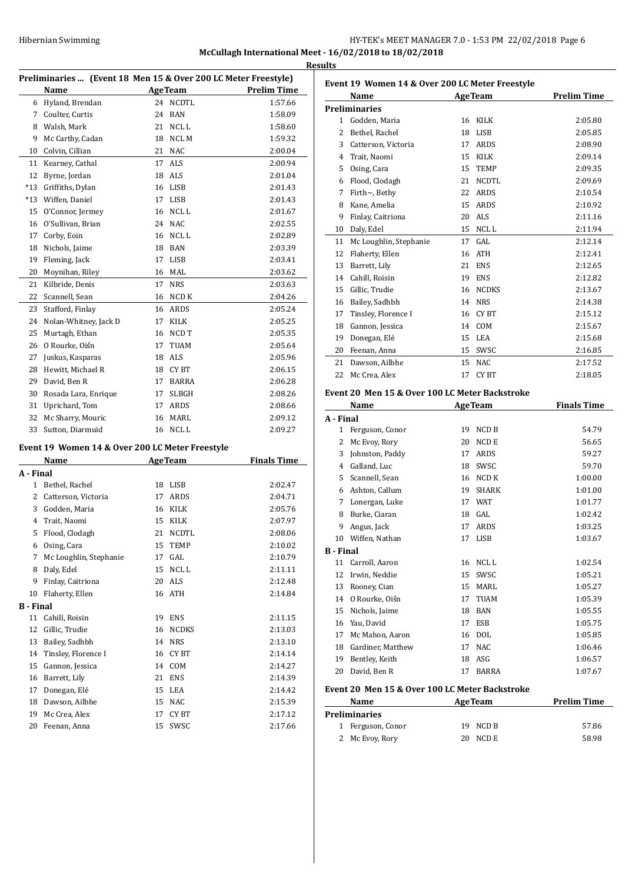# HY-TEK's MEET MANAGER 7.0 - 1:53 PM 22/02/2018 Page 6 **McCullagh International Meet - 16/02/2018 to 18/02/2018**

**Results**

| Preliminaries  (Event 18 Men 15 & Over 200 LC Meter Freestyle) |                                                         |          |                |                    |
|----------------------------------------------------------------|---------------------------------------------------------|----------|----------------|--------------------|
|                                                                | Name                                                    |          | <b>AgeTeam</b> | <b>Prelim Time</b> |
|                                                                | 6 Hyland, Brendan                                       | 24       | NCDTL          | 1:57.66            |
|                                                                | 7 Coulter, Curtis                                       |          | 24 BAN         | 1:58.09            |
|                                                                | 8 Walsh, Mark                                           | 21       | NCLL.          | 1:58.60            |
| 9                                                              | Mc Carthy, Cadan                                        |          | 18 NCL M       | 1:59.32            |
| 10                                                             | Colvin, Cillian                                         | 21       | <b>NAC</b>     | 2:00.04            |
| 11                                                             | Kearney, Cathal                                         | 17       | ALS            | 2:00.94            |
| 12                                                             | Byrne, Jordan                                           | 18       | ALS            | 2:01.04            |
| $*13$                                                          | Griffiths, Dylan                                        | 16       | LISB           | 2:01.43            |
| $*13$                                                          | Wiffen, Daniel                                          | 17       | <b>LISB</b>    | 2:01.43            |
| 15                                                             | O'Connor, Jermey                                        | 16       | NCL L          | 2:01.67            |
| 16                                                             | O'Sullivan, Brian                                       | 24       | <b>NAC</b>     | 2:02.55            |
| 17                                                             | Corby, Eoin                                             | 16       | NCL L          | 2:02.89            |
| 18                                                             | Nichols, Jaime                                          | 18       | <b>BAN</b>     | 2:03.39            |
| 19                                                             | Fleming, Jack                                           |          | 17 LISB        | 2:03.41            |
| 20                                                             | Moynihan, Riley                                         | 16       | MAL            | 2:03.62            |
| 21                                                             | Kilbride, Denis                                         | 17       | <b>NRS</b>     | 2:03.63            |
| 22                                                             | Scannell, Sean                                          | 16       | NCD K          | 2:04.26            |
| 23                                                             | Stafford, Finlay                                        |          | 16 ARDS        | 2:05.24            |
| 24                                                             | Nolan-Whitney, Jack D                                   | 17       | KILK           | 2:05.25            |
| 25                                                             | Murtagh, Ethan                                          | 16       | NCD T          | 2:05.35            |
| 26                                                             | O Rourke. Oiśn                                          | 17       | TUAM           | 2:05.64            |
| 27                                                             | Juskus, Kasparas                                        | 18       | ALS            | 2:05.96            |
| 28                                                             | Hewitt, Michael R                                       | 18       | CY BT          | 2:06.15            |
| 29                                                             | David, Ben R                                            | 17       | <b>BARRA</b>   | 2:06.28            |
| 30                                                             | Rosada Lara, Enrique                                    | 17       | <b>SLBGH</b>   | 2:08.26            |
| 31                                                             | Uprichard, Tom                                          | 17       | ARDS           | 2:08.66            |
| 32                                                             | Mc Sharry, Mouric                                       | 16       | MARL           | 2:09.12            |
| 33                                                             | Sutton, Diarmuid                                        | 16       | NCL L          | 2:09.27            |
|                                                                |                                                         |          |                |                    |
|                                                                | Event 19 Women 14 & Over 200 LC Meter Freestyle<br>Name |          | <b>AgeTeam</b> | <b>Finals Time</b> |
| A - Final                                                      |                                                         |          |                |                    |
| $\mathbf{1}$                                                   | Bethel, Rachel                                          |          | 18 LISB        | 2:02.47            |
| 2                                                              | Catterson, Victoria                                     |          | 17 ARDS        | 2:04.71            |
| 3                                                              | Godden, Maria                                           | 16       | KILK           | 2:05.76            |
| 4                                                              | Trait, Naomi                                            | 15       | KILK           | 2:07.97            |
| 5                                                              |                                                         |          | 21 NCDTL       | 2:08.06            |
|                                                                | Flood, Clodagh                                          |          |                |                    |
| 6<br>7                                                         | Osing, Cara<br>Mc Loughlin, Stephanie                   | 15<br>17 | TEMP<br>GAL    | 2:10.02<br>2:10.79 |
| 8                                                              | Daly, Edel                                              | 15       | NCL L          | 2:11.11            |
| 9                                                              |                                                         | 20       | ALS            |                    |
|                                                                | Finlay, Caitriona                                       |          |                | 2:12.48            |
| 10                                                             | Flaherty, Ellen                                         | 16       | ATH            | 2:14.84            |
| <b>B</b> - Final<br>11                                         | Cahill, Roisin                                          | 19       | <b>ENS</b>     | 2:11.15            |
| 12                                                             | Gillic, Trudie                                          | 16       |                |                    |
| 13                                                             | Bailey, Sadhbh                                          | 14       | NCDKS          | 2:13.03<br>2:13.10 |
| 14                                                             | Tinsley, Florence I                                     | 16       | NRS<br>CY BT   | 2:14.14            |
| 15                                                             | Gannon, Jessica                                         | 14       | COM            | 2:14.27            |
| 16                                                             | Barrett, Lily                                           | 21       | ENS            | 2:14.39            |
|                                                                |                                                         |          |                |                    |

17 Donegan, Elé 15 LEA 2:14.42 Dawson, Ailbhe 15 NAC 2:15.39 19 Mc Crea, Alex 17 CY BT 2:17.12 Feenan, Anna 15 SWSC 2:17.66

| Event 19 Women 14 & Over 200 LC Meter Freestyle |                                                |          |                            |                    |
|-------------------------------------------------|------------------------------------------------|----------|----------------------------|--------------------|
|                                                 | Name                                           |          | <b>AgeTeam</b>             | <b>Prelim Time</b> |
|                                                 | <b>Preliminaries</b>                           |          |                            |                    |
|                                                 | 1 Godden, Maria                                |          | 16 KILK                    | 2:05.80            |
| 2                                               | Bethel, Rachel                                 |          | 18 LISB                    | 2:05.85            |
|                                                 | 3 Catterson, Victoria                          |          | 17 ARDS                    | 2:08.90            |
|                                                 | 4 Trait, Naomi                                 |          | 15 KILK                    | 2:09.14            |
|                                                 | 5 Osing, Cara                                  | 15       | <b>TEMP</b>                | 2:09.35            |
|                                                 | 6 Flood, Clodagh                               | 21       | <b>NCDTL</b>               | 2:09.69            |
| 7                                               | Firth $\sim$ , Bethy                           |          | 22 ARDS                    | 2:10.54            |
| 8                                               | Kane, Amelia                                   | 15       | <b>ARDS</b>                | 2:10.92            |
| 9                                               | Finlay, Caitriona                              |          | 20 ALS                     | 2:11.16            |
| 10                                              | Daly, Edel                                     | 15       | NCL L                      | 2:11.94            |
| 11                                              | Mc Loughlin, Stephanie                         | 17       | GAL                        | 2:12.14            |
| 12                                              | Flaherty, Ellen                                |          | 16 ATH                     | 2:12.41            |
| 13                                              | Barrett, Lily                                  | 21       | <b>ENS</b>                 | 2:12.65            |
|                                                 | 14 Cahill, Roisin                              |          | 19 ENS                     | 2:12.82            |
| 15                                              | Gillic, Trudie                                 |          | 16 NCDKS                   | 2:13.67            |
|                                                 | 16 Bailey, Sadhbh                              |          | 14 NRS                     | 2:14.38            |
|                                                 | 17 Tinsley, Florence I                         |          | 16 CYBT                    | 2:15.12            |
|                                                 | 18 Gannon, Jessica                             | 14       | <b>COM</b>                 | 2:15.67            |
| 19                                              | Donegan, Elé                                   | 15       | LEA                        | 2:15.68            |
| 20                                              | Feenan, Anna                                   |          | 15 SWSC                    | 2:16.85            |
| 21                                              | Dawson, Ailbhe                                 | 15       | <b>NAC</b>                 | 2:17.52            |
|                                                 |                                                |          |                            |                    |
| 22                                              | Mc Crea, Alex                                  | 17       | CY BT                      | 2:18.05            |
|                                                 |                                                |          |                            |                    |
|                                                 | Event 20 Men 15 & Over 100 LC Meter Backstroke |          |                            |                    |
|                                                 | Name                                           |          | <b>AgeTeam</b>             | <b>Finals Time</b> |
| A - Final<br>1                                  |                                                | 19       |                            |                    |
|                                                 | Ferguson, Conor                                |          | NCD B                      | 54.79              |
| 2                                               | Mc Evoy, Rory                                  | 20       | NCD E                      | 56.65              |
| 3                                               | Johnston, Paddy                                | 17<br>18 | ARDS                       | 59.27              |
|                                                 | 4 Galland, Luc                                 |          | SWSC                       | 59.70              |
| 5.<br>6                                         | Scannell, Sean                                 | 19       | 16 NCD K                   | 1:00.00            |
| 7                                               | Ashton, Callum                                 | 17       | <b>SHARK</b><br><b>WAT</b> | 1:01.00<br>1:01.77 |
| 8                                               | Lonergan, Luke                                 | 18       | GAL                        | 1:02.42            |
| 9                                               | Burke, Ciaran                                  | 17       | ARDS                       | 1:03.25            |
| 10                                              | Angus, Jack<br>Wiffen, Nathan                  |          | 17 LISB                    | 1:03.67            |
|                                                 |                                                |          |                            |                    |
| B - Final<br>11                                 | Carroll, Aaron                                 | 16       | NCL L                      | 1:02.54            |
| 12                                              | Irwin, Neddie                                  | 15       | SWSC                       | 1:05.21            |
| 13                                              | Rooney, Cian                                   | 15       | MARL                       | 1:05.27            |
| 14                                              | O Rourke, Oiśn                                 | 17       | <b>TUAM</b>                | 1:05.39            |
| 15                                              | Nichols, Jaime                                 | 18       | BAN                        | 1:05.55            |
| 16                                              | Yau, David                                     | 17       | ESB                        | 1:05.75            |
| 17                                              | Mc Mahon, Aaron                                | 16       | <b>DOL</b>                 | 1:05.85            |
| 18                                              | Gardiner, Matthew                              | 17       | NAC                        | 1:06.46            |

## **Event 20 Men 15 & Over 100 LC Meter Backstroke**

| Name                 | <b>AgeTeam</b> | <b>Prelim Time</b> |
|----------------------|----------------|--------------------|
| <b>Preliminaries</b> |                |                    |
| 1 Ferguson, Conor    | 19 NCD B       | 57.86              |
| 2 Mc Evoy, Rory      | NCD E<br>20.   | 58.98              |

20 David, Ben R 17 BARRA 1:07.67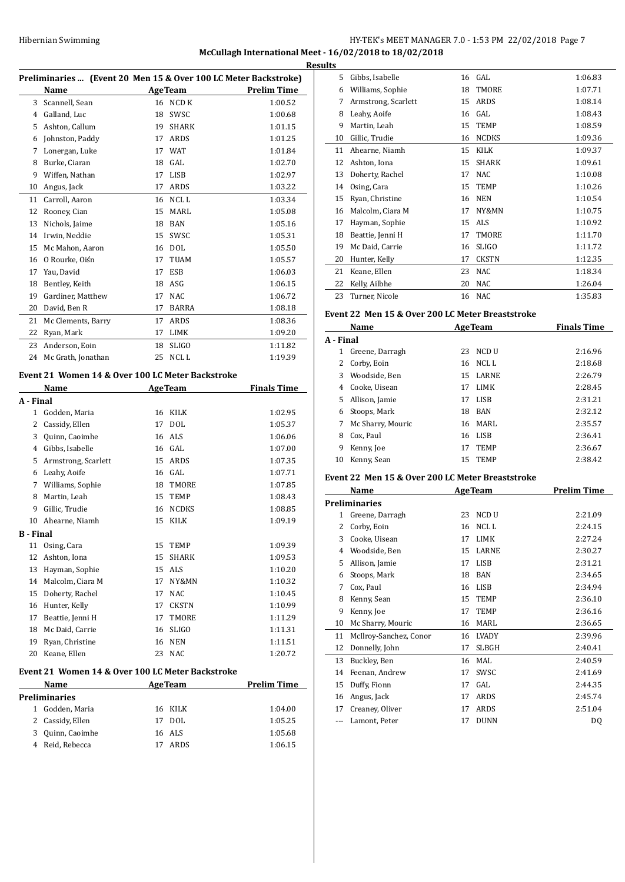# Hibernian Swimming HY-TEK's MEET MANAGER 7.0 - 1:53 PM 22/02/2018 Page 7 **McCullagh International Meet - 16/02/2018 to 18/02/2018**

|    |                    |    |                | Preliminaries  (Event 20 Men 15 & Over 100 LC Meter Backstroke) |
|----|--------------------|----|----------------|-----------------------------------------------------------------|
|    | Name               |    | <b>AgeTeam</b> | <b>Prelim Time</b>                                              |
| 3  | Scannell, Sean     | 16 | NCD K          | 1:00.52                                                         |
| 4  | Galland, Luc       | 18 | SWSC           | 1:00.68                                                         |
| 5  | Ashton, Callum     | 19 | <b>SHARK</b>   | 1:01.15                                                         |
| 6  | Johnston, Paddy    | 17 | ARDS           | 1:01.25                                                         |
| 7  | Lonergan, Luke     | 17 | <b>WAT</b>     | 1:01.84                                                         |
| 8  | Burke, Ciaran      | 18 | GAL            | 1:02.70                                                         |
| 9  | Wiffen, Nathan     | 17 | LISB           | 1:02.97                                                         |
| 10 | Angus, Jack        | 17 | ARDS           | 1:03.22                                                         |
| 11 | Carroll, Aaron     | 16 | NCL L          | 1:03.34                                                         |
| 12 | Rooney, Cian       | 15 | MARL           | 1:05.08                                                         |
| 13 | Nichols, Jaime     | 18 | <b>BAN</b>     | 1:05.16                                                         |
| 14 | Irwin, Neddie      | 15 | SWSC           | 1:05.31                                                         |
| 15 | Mc Mahon, Aaron    | 16 | <b>DOL</b>     | 1:05.50                                                         |
| 16 | O Rourke, Oiśn     | 17 | <b>TUAM</b>    | 1:05.57                                                         |
| 17 | Yau, David         | 17 | ESB            | 1:06.03                                                         |
| 18 | Bentley, Keith     | 18 | ASG            | 1:06.15                                                         |
| 19 | Gardiner, Matthew  | 17 | <b>NAC</b>     | 1:06.72                                                         |
| 20 | David, Ben R       | 17 | <b>BARRA</b>   | 1:08.18                                                         |
| 21 | Mc Clements, Barry | 17 | ARDS           | 1:08.36                                                         |
| 22 | Ryan, Mark         | 17 | <b>LIMK</b>    | 1:09.20                                                         |
| 23 | Anderson, Eoin     | 18 | <b>SLIGO</b>   | 1:11.82                                                         |
| 24 | Mc Grath, Jonathan | 25 | <b>NCLL</b>    | 1:19.39                                                         |

## **Event 21 Women 14 & Over 100 LC Meter Backstroke**

|                  | <b>Name</b>         |    | <b>AgeTeam</b> | <b>Finals Time</b> |
|------------------|---------------------|----|----------------|--------------------|
| A - Final        |                     |    |                |                    |
| $\mathbf{1}$     | Godden, Maria       | 16 | <b>KILK</b>    | 1:02.95            |
| 2                | Cassidy, Ellen      | 17 | <b>DOL</b>     | 1:05.37            |
| 3                | Quinn, Caoimhe      | 16 | ALS            | 1:06.06            |
| 4                | Gibbs, Isabelle     | 16 | GAL            | 1:07.00            |
| 5                | Armstrong, Scarlett | 15 | <b>ARDS</b>    | 1:07.35            |
| 6                | Leahy, Aoife        | 16 | GAL.           | 1:07.71            |
| 7                | Williams, Sophie    | 18 | <b>TMORE</b>   | 1:07.85            |
| 8                | Martin, Leah        | 15 | <b>TEMP</b>    | 1:08.43            |
| 9                | Gillic, Trudie      | 16 | <b>NCDKS</b>   | 1:08.85            |
| 10               | Ahearne, Niamh      | 15 | <b>KILK</b>    | 1:09.19            |
| <b>B</b> - Final |                     |    |                |                    |
| 11               | Osing, Cara         | 15 | <b>TEMP</b>    | 1:09.39            |
| 12               | Ashton, Iona        | 15 | <b>SHARK</b>   | 1:09.53            |
| 13               | Hayman, Sophie      | 15 | <b>ALS</b>     | 1:10.20            |
| 14               | Malcolm, Ciara M    | 17 | NY&MN          | 1:10.32            |
| 15               | Doherty, Rachel     | 17 | <b>NAC</b>     | 1:10.45            |
| 16               | Hunter, Kelly       | 17 | <b>CKSTN</b>   | 1:10.99            |
| 17               | Beattie, Jenni H    | 17 | TMORE          | 1:11.29            |
| 18               | Mc Daid, Carrie     | 16 | <b>SLIGO</b>   | 1:11.31            |
| 19               | Ryan, Christine     | 16 | <b>NEN</b>     | 1:11.51            |
| 20               | Keane, Ellen        | 23 | <b>NAC</b>     | 1:20.72            |
|                  |                     |    |                |                    |

## **Event 21 Women 14 & Over 100 LC Meter Backstroke**

| <b>Name</b>      |    | <b>Prelim Time</b>                                    |  |
|------------------|----|-------------------------------------------------------|--|
| Preliminaries    |    |                                                       |  |
| Godden, Maria    |    | 1:04.00                                               |  |
| 2 Cassidy, Ellen |    | 1:05.25                                               |  |
| Quinn, Caoimhe   |    | 1:05.68                                               |  |
| Reid, Rebecca    | 17 | 1:06.15                                               |  |
|                  |    | <b>AgeTeam</b><br>16 KILK<br>17 DOL<br>16 ALS<br>ARDS |  |

| <b>Results</b> |                     |    |              |         |
|----------------|---------------------|----|--------------|---------|
| 5.             | Gibbs, Isabelle     |    | 16 GAL       | 1:06.83 |
| 6              | Williams, Sophie    | 18 | <b>TMORE</b> | 1:07.71 |
| 7              | Armstrong, Scarlett | 15 | ARDS         | 1:08.14 |
| 8              | Leahy, Aoife        | 16 | GAL          | 1:08.43 |
| 9              | Martin, Leah        | 15 | <b>TEMP</b>  | 1:08.59 |
| 10             | Gillic, Trudie      | 16 | <b>NCDKS</b> | 1:09.36 |
| 11             | Ahearne, Niamh      | 15 | KILK         | 1:09.37 |
| 12             | Ashton, Iona        | 15 | <b>SHARK</b> | 1:09.61 |
| 13             | Doherty, Rachel     | 17 | <b>NAC</b>   | 1:10.08 |
| 14             | Osing, Cara         | 15 | <b>TEMP</b>  | 1:10.26 |
| 15             | Ryan, Christine     | 16 | <b>NEN</b>   | 1:10.54 |
| 16             | Malcolm, Ciara M    | 17 | NY&MN        | 1:10.75 |
| 17             | Hayman, Sophie      | 15 | <b>ALS</b>   | 1:10.92 |
| 18             | Beattie, Jenni H    | 17 | <b>TMORE</b> | 1:11.70 |
| 19             | Mc Daid, Carrie     | 16 | <b>SLIGO</b> | 1:11.72 |
| 20             | Hunter, Kelly       | 17 | <b>CKSTN</b> | 1:12.35 |
| 21             | Keane, Ellen        | 23 | <b>NAC</b>   | 1:18.34 |
| 22             | Kelly, Ailbhe       | 20 | NAC          | 1:26.04 |
| 23             | Turner, Nicole      | 16 | NAC          | 1:35.83 |

## **Event 22 Men 15 & Over 200 LC Meter Breaststroke**

| Name      |                   |     | <b>AgeTeam</b> | <b>Finals Time</b> |  |
|-----------|-------------------|-----|----------------|--------------------|--|
| A - Final |                   |     |                |                    |  |
| 1         | Greene, Darragh   | 23  | -NCD U         | 2:16.96            |  |
| 2         | Corby, Eoin       | 16  | NCL L          | 2:18.68            |  |
| 3         | Woodside, Ben     | 15. | <b>LARNE</b>   | 2:26.79            |  |
| 4         | Cooke, Uisean     | 17  | <b>LIMK</b>    | 2:28.45            |  |
| 5.        | Allison, Jamie    | 17  | LISB           | 2:31.21            |  |
| 6         | Stoops, Mark      | 18  | <b>BAN</b>     | 2:32.12            |  |
| 7         | Mc Sharry, Mouric |     | 16 MARL        | 2:35.57            |  |
| 8         | Cox, Paul         | 16  | LISB           | 2:36.41            |  |
| 9         | Kenny, Joe        | 17  | <b>TEMP</b>    | 2:36.67            |  |
| 10        | Kenny, Sean       | 15  | <b>TEMP</b>    | 2:38.42            |  |

## **Event 22 Men 15 & Over 200 LC Meter Breaststroke**

| Name |                        | <b>AgeTeam</b>     | Prelim Time |  |
|------|------------------------|--------------------|-------------|--|
|      | <b>Preliminaries</b>   |                    |             |  |
| 1    | Greene, Darragh        | NCD U<br>23        | 2:21.09     |  |
| 2    | Corby, Eoin            | NCL L<br>16        | 2:24.15     |  |
| 3    | Cooke, Uisean          | <b>LIMK</b><br>17  | 2:27.24     |  |
| 4    | Woodside, Ben          | LARNE<br>15        | 2:30.27     |  |
| 5    | Allison, Jamie         | <b>LISB</b><br>17  | 2:31.21     |  |
| 6    | Stoops, Mark           | <b>BAN</b><br>18   | 2:34.65     |  |
| 7    | Cox, Paul              | LISB<br>16         | 2:34.94     |  |
| 8    | Kenny, Sean            | <b>TEMP</b><br>15  | 2:36.10     |  |
| 9    | Kenny, Joe             | TEMP<br>17         | 2:36.16     |  |
| 10   | Mc Sharry, Mouric      | MARL<br>16         | 2:36.65     |  |
| 11   | McIlroy-Sanchez, Conor | <b>LVADY</b><br>16 | 2:39.96     |  |
| 12   | Donnelly, John         | SLBGH<br>17        | 2:40.41     |  |
| 13   | Buckley, Ben           | MAL<br>16          | 2:40.59     |  |
| 14   | Feenan, Andrew         | SWSC<br>17         | 2:41.69     |  |
| 15   | Duffy, Fionn           | GAL<br>17          | 2:44.35     |  |
| 16   | Angus, Jack            | ARDS<br>17         | 2:45.74     |  |
| 17   | Creaney, Oliver        | ARDS<br>17         | 2:51.04     |  |
|      | Lamont, Peter          | <b>DUNN</b><br>17  | DQ          |  |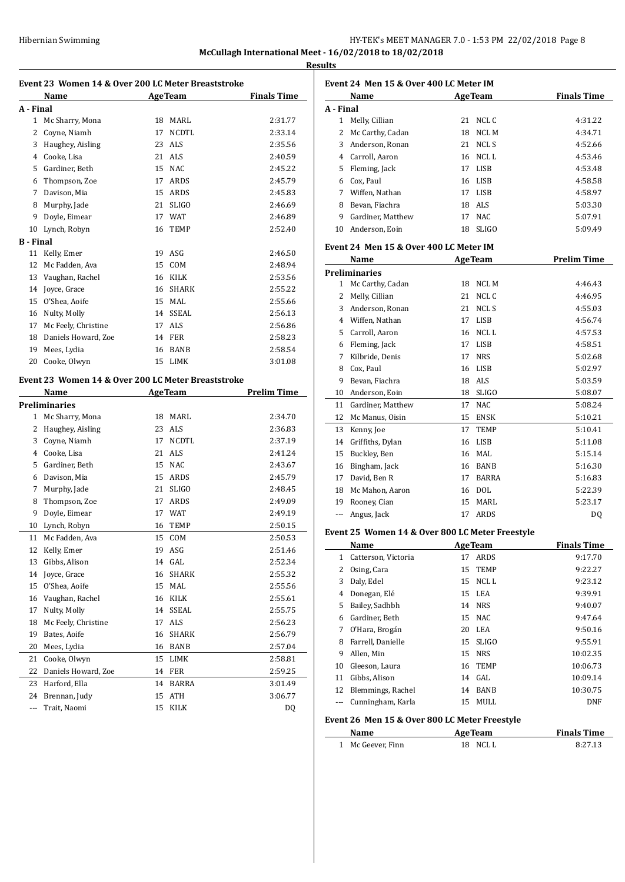# HY-TEK's MEET MANAGER 7.0 - 1:53 PM 22/02/2018 Page 8 **McCullagh International Meet - 16/02/2018 to 18/02/2018**

**Results**

 $\frac{1}{2}$ 

 $\overline{a}$ 

 $\frac{1}{2}$ 

| Event 23 Women 14 & Over 200 LC Meter Breaststroke |                                                            |    |                 |                    |
|----------------------------------------------------|------------------------------------------------------------|----|-----------------|--------------------|
|                                                    | Name                                                       |    | <b>AgeTeam</b>  | <b>Finals Time</b> |
| A - Final                                          |                                                            |    |                 |                    |
| $\mathbf{1}$                                       | Mc Sharry, Mona                                            | 18 | MARL            | 2:31.77            |
| 2                                                  | Coyne, Niamh                                               | 17 | <b>NCDTL</b>    | 2:33.14            |
| 3                                                  | Haughey, Aisling                                           | 23 | ALS <sub></sub> | 2:35.56            |
| 4                                                  | Cooke, Lisa                                                | 21 | ALS             | 2:40.59            |
| 5                                                  | Gardiner, Beth                                             | 15 | <b>NAC</b>      | 2:45.22            |
| 6                                                  | Thompson, Zoe                                              | 17 | ARDS            | 2:45.79            |
| 7                                                  | Davison. Mia                                               | 15 | <b>ARDS</b>     | 2:45.83            |
| 8                                                  | Murphy, Jade                                               | 21 | <b>SLIGO</b>    | 2:46.69            |
| 9                                                  | Doyle, Eimear                                              | 17 | <b>WAT</b>      | 2:46.89            |
| 10                                                 | Lynch, Robyn                                               | 16 | <b>TEMP</b>     | 2:52.40            |
| <b>B</b> - Final                                   |                                                            |    |                 |                    |
| 11                                                 | Kelly, Emer                                                |    | 19 ASG          | 2:46.50            |
| 12                                                 | Mc Fadden, Ava                                             |    | 15 COM          | 2:48.94            |
| 13                                                 | Vaughan, Rachel                                            | 16 | KILK            | 2:53.56            |
| 14                                                 | Joyce, Grace                                               | 16 | <b>SHARK</b>    | 2:55.22            |
| 15                                                 | O'Shea, Aoife                                              |    | 15 MAL          | 2:55.66            |
| 16                                                 | Nulty, Molly                                               |    | 14 SSEAL        | 2:56.13            |
| 17                                                 | Mc Feely, Christine                                        | 17 | <b>ALS</b>      | 2:56.86            |
| 18                                                 | Daniels Howard, Zoe                                        |    | 14 FER          | 2:58.23            |
| 19                                                 | Mees, Lydia                                                | 16 | <b>BANB</b>     | 2:58.54            |
| 20                                                 | Cooke, Olwyn                                               | 15 | <b>LIMK</b>     | 3:01.08            |
|                                                    | Event 23 Women 14 & Over 200 LC Meter Breaststroke<br>Name |    | <b>AgeTeam</b>  | <b>Prelim Time</b> |
|                                                    | <b>Preliminaries</b>                                       |    |                 |                    |
| 1                                                  | Mc Sharry, Mona                                            | 18 | MARL            | 2:34.70            |
| 2                                                  | Haughey, Aisling                                           |    | 23 ALS          | 2:36.83            |
| 3                                                  | Coyne, Niamh                                               | 17 | <b>NCDTL</b>    | 2:37.19            |
|                                                    | 4 Cooke, Lisa                                              | 21 | ALS             | 2:41.24            |
| 5                                                  | Gardiner, Beth                                             | 15 | <b>NAC</b>      | 2:43.67            |
| 6                                                  | Davison, Mia                                               | 15 | ARDS            | 2:45.79            |
| 7                                                  | Murphy, Jade                                               | 21 | <b>SLIGO</b>    | 2:48.45            |
| 8                                                  | Thompson, Zoe                                              | 17 | ARDS            | 2:49.09            |
| 9                                                  | Doyle, Eimear                                              | 17 | <b>WAT</b>      | 2:49.19            |
| 10                                                 | Lynch, Robyn                                               | 16 | <b>TEMP</b>     | 2:50.15            |
| 11                                                 | Mc Fadden, Ava                                             | 15 | COM             | 2:50.53            |
| 12                                                 | Kelly, Emer                                                | 19 | ASG             | 2:51.46            |
| 13                                                 | Gibbs, Alison                                              | 14 | GAL             | 2:52.34            |
| 14                                                 | Joyce, Grace                                               | 16 | SHARK           | 2:55.32            |
| 15                                                 | O'Shea, Aoife                                              | 15 | MAL             | 2:55.56            |
| 16                                                 | Vaughan, Rachel                                            | 16 | KILK            | 2:55.61            |
| 17                                                 | Nulty, Molly                                               | 14 | SSEAL           | 2:55.75            |
| 18                                                 | Mc Feely, Christine                                        | 17 | ALS             | 2:56.23            |
| 19                                                 | Bates, Aoife                                               | 16 | SHARK           | 2:56.79            |
| 20                                                 | Mees, Lydia                                                | 16 | BANB            | 2:57.04            |
| 21                                                 | Cooke, Olwyn                                               | 15 | LIMK            | 2:58.81            |
| 22                                                 | Daniels Howard, Zoe                                        | 14 | FER             | 2:59.25            |
| 23                                                 | Harford, Ella                                              | 14 | BARRA           | 3:01.49            |
| 24                                                 | Brennan, Judy                                              | 15 | ATH             | 3:06.77            |
| ---                                                | Trait, Naomi                                               | 15 | KILK            | DQ                 |

| Event 24 Men 15 & Over 400 LC Meter IM |                                        |    |                |                    |
|----------------------------------------|----------------------------------------|----|----------------|--------------------|
|                                        | Name                                   |    | <b>AgeTeam</b> | <b>Finals Time</b> |
| A - Final                              |                                        |    |                |                    |
| 1                                      | Melly, Cillian                         | 21 | NCL C          | 4:31.22            |
| 2                                      | Mc Carthy, Cadan                       | 18 | NCL M          | 4:34.71            |
| 3                                      | Anderson, Ronan                        | 21 | <b>NCL S</b>   | 4:52.66            |
| 4                                      | Carroll, Aaron                         | 16 | <b>NCLL</b>    | 4:53.46            |
| 5                                      | Fleming, Jack                          | 17 | <b>LISB</b>    | 4:53.48            |
| 6                                      | Cox, Paul                              | 16 | <b>LISB</b>    | 4:58.58            |
| 7                                      | Wiffen, Nathan                         | 17 | <b>LISB</b>    | 4:58.97            |
| 8                                      | Bevan, Fiachra                         | 18 | ALS            | 5:03.30            |
| 9                                      | Gardiner, Matthew                      | 17 | <b>NAC</b>     | 5:07.91            |
| 10                                     | Anderson, Eoin                         | 18 | <b>SLIGO</b>   | 5:09.49            |
|                                        | Event 24 Men 15 & Over 400 LC Meter IM |    |                |                    |
|                                        | Name                                   |    | <b>AgeTeam</b> | <b>Prelim Time</b> |
|                                        | <b>Preliminaries</b>                   |    |                |                    |
| 1                                      | Mc Carthy, Cadan                       | 18 | NCL M          | 4:46.43            |
| 2                                      | Melly, Cillian                         | 21 | NCL C          | 4:46.95            |
| 3                                      | Anderson, Ronan                        | 21 | <b>NCL S</b>   | 4:55.03            |
| 4                                      | Wiffen, Nathan                         | 17 | <b>LISB</b>    | 4:56.74            |
| 5                                      | Carroll, Aaron                         | 16 | NCL L          | 4:57.53            |
| 6                                      | Fleming, Jack                          | 17 | <b>LISB</b>    | 4:58.51            |
| 7                                      | Kilbride, Denis                        | 17 | <b>NRS</b>     | 5:02.68            |
| 8                                      | Cox, Paul                              | 16 | LISB           | 5:02.97            |
| 9                                      | Bevan. Fiachra                         | 18 | ALS            | 5:03.59            |

### **Event 24 Men 15 & Over 400 LC Meter IM**

|              | 'reliminaries                                   |    |              |         |
|--------------|-------------------------------------------------|----|--------------|---------|
| $\mathbf{1}$ | Mc Carthy, Cadan                                | 18 | <b>NCLM</b>  | 4:46.43 |
| 2            | Melly, Cillian                                  | 21 | NCL C        | 4:46.95 |
| 3            | Anderson, Ronan                                 | 21 | NCL S        | 4:55.03 |
| 4            | Wiffen, Nathan                                  | 17 | <b>LISB</b>  | 4:56.74 |
| 5            | Carroll, Aaron                                  | 16 | NCL L        | 4:57.53 |
| 6            | Fleming, Jack                                   | 17 | <b>LISB</b>  | 4:58.51 |
| 7            | Kilbride, Denis                                 | 17 | <b>NRS</b>   | 5:02.68 |
| 8            | Cox, Paul                                       | 16 | <b>LISB</b>  | 5:02.97 |
| 9            | Bevan, Fiachra                                  | 18 | ALS          | 5:03.59 |
| 10           | Anderson, Eoin                                  | 18 | <b>SLIGO</b> | 5:08.07 |
| 11           | Gardiner, Matthew                               | 17 | <b>NAC</b>   | 5:08.24 |
| 12           | Mc Manus, Oisin                                 | 15 | <b>ENSK</b>  | 5:10.21 |
| 13           | Kenny, Joe                                      | 17 | <b>TEMP</b>  | 5:10.41 |
| 14           | Griffiths, Dylan                                | 16 | <b>LISB</b>  | 5:11.08 |
| 15           | Buckley, Ben                                    | 16 | MAL          | 5:15.14 |
| 16           | Bingham, Jack                                   | 16 | <b>BANB</b>  | 5:16.30 |
| 17           | David, Ben R                                    | 17 | <b>BARRA</b> | 5:16.83 |
| 18           | Mc Mahon, Aaron                                 | 16 | <b>DOL</b>   | 5:22.39 |
| 19           | Rooney, Cian                                    | 15 | <b>MARL</b>  | 5:23.17 |
| ---          | Angus, Jack                                     | 17 | ARDS         | DQ      |
|              | vent 25  Women 14 & Over 800 LC Meter Freestyle |    |              |         |

### **Event 25 Women 14 & Over 800 LC Meter Freestyle**

|    | Name                |    | <b>AgeTeam</b> | <b>Finals Time</b> |
|----|---------------------|----|----------------|--------------------|
| 1  | Catterson, Victoria | 17 | ARDS           | 9:17.70            |
| 2  | Osing, Cara         |    | 15 TEMP        | 9:22.27            |
| 3  | Daly, Edel          | 15 | NCL L          | 9:23.12            |
| 4  | Donegan, Elé        |    | 15 LEA         | 9:39.91            |
| 5. | Bailey, Sadhbh      |    | 14 NRS         | 9:40.07            |
| 6  | Gardiner, Beth      |    | 15 NAC         | 9:47.64            |
| 7  | O'Hara, Brogán      | 20 | LEA            | 9:50.16            |
| 8  | Farrell, Danielle   |    | 15 SLIGO       | 9:55.91            |
| 9  | Allen, Min          | 15 | <b>NRS</b>     | 10:02.35           |
| 10 | Gleeson, Laura      | 16 | <b>TEMP</b>    | 10:06.73           |
| 11 | Gibbs, Alison       |    | 14 GAL         | 10:09.14           |
| 12 | Blemmings, Rachel   | 14 | <b>BANB</b>    | 10:30.75           |
|    | Cunningham, Karla   | 15 | MULL           | DNF                |

## **Event 26 Men 15 & Over 800 LC Meter Freestyle**

| Name              | <b>AgeTeam</b> | <b>Finals Time</b> |
|-------------------|----------------|--------------------|
| 1 Mc Geever, Finn | 18 NCLL        | 8:27.13            |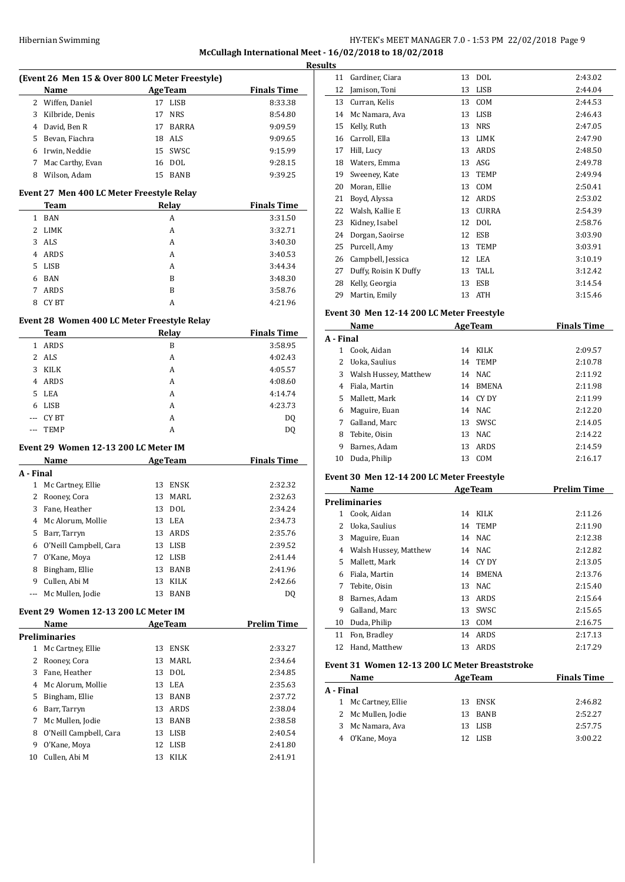# HY-TEK's MEET MANAGER 7.0 - 1:53 PM 22/02/2018 Page 9 **McCullagh International Meet - 16/02/2018 to 18/02/2018**

| Name                                 |                                                                                          | (Event 26 Men 15 & Over 800 LC Meter Freestyle) |                                                                                                                                                                                                        |
|--------------------------------------|------------------------------------------------------------------------------------------|-------------------------------------------------|--------------------------------------------------------------------------------------------------------------------------------------------------------------------------------------------------------|
|                                      |                                                                                          | <b>AgeTeam</b>                                  | <b>Finals Time</b>                                                                                                                                                                                     |
| Wiffen, Daniel                       | 17                                                                                       | <b>LISB</b>                                     | 8:33.38                                                                                                                                                                                                |
| Kilbride, Denis                      | 17                                                                                       | <b>NRS</b>                                      | 8:54.80                                                                                                                                                                                                |
| 4 David, Ben R                       | 17                                                                                       | BARRA                                           | 9:09.59                                                                                                                                                                                                |
| 5 Bevan, Fiachra                     |                                                                                          | 18 ALS                                          | 9:09.65                                                                                                                                                                                                |
| 6 Irwin, Neddie                      |                                                                                          | 15 SWSC                                         | 9:15.99                                                                                                                                                                                                |
| 7 Mac Carthy, Evan                   |                                                                                          | 16 DOL                                          | 9:28.15                                                                                                                                                                                                |
| Wilson, Adam                         | 15                                                                                       | <b>BANB</b>                                     | 9:39.25                                                                                                                                                                                                |
|                                      |                                                                                          |                                                 |                                                                                                                                                                                                        |
| Team                                 |                                                                                          |                                                 | <b>Finals Time</b>                                                                                                                                                                                     |
| BAN                                  |                                                                                          | A                                               | 3:31.50                                                                                                                                                                                                |
| LIMK                                 |                                                                                          | A                                               | 3:32.71                                                                                                                                                                                                |
|                                      |                                                                                          | A                                               | 3:40.30                                                                                                                                                                                                |
| ARDS                                 |                                                                                          | A                                               | 3:40.53                                                                                                                                                                                                |
| LISB                                 |                                                                                          | A                                               | 3:44.34                                                                                                                                                                                                |
| BAN                                  |                                                                                          | B                                               | 3:48.30                                                                                                                                                                                                |
|                                      |                                                                                          |                                                 | 3:58.76                                                                                                                                                                                                |
|                                      |                                                                                          | A                                               | 4:21.96                                                                                                                                                                                                |
|                                      |                                                                                          |                                                 |                                                                                                                                                                                                        |
| Team                                 |                                                                                          |                                                 | <b>Finals Time</b>                                                                                                                                                                                     |
| 1 ARDS                               |                                                                                          | B                                               | 3:58.95                                                                                                                                                                                                |
|                                      |                                                                                          | A                                               | 4:02.43                                                                                                                                                                                                |
| KILK                                 |                                                                                          | A                                               | 4:05.57                                                                                                                                                                                                |
| 4 ARDS                               |                                                                                          | A                                               | 4:08.60                                                                                                                                                                                                |
| LEA                                  |                                                                                          | A                                               | 4:14.74                                                                                                                                                                                                |
| LISB                                 |                                                                                          | A                                               | 4:23.73                                                                                                                                                                                                |
| --- CY BT                            |                                                                                          | A                                               | DQ                                                                                                                                                                                                     |
| TEMP                                 |                                                                                          | A                                               | DQ                                                                                                                                                                                                     |
|                                      |                                                                                          |                                                 |                                                                                                                                                                                                        |
|                                      |                                                                                          |                                                 | <b>Finals Time</b>                                                                                                                                                                                     |
|                                      |                                                                                          |                                                 |                                                                                                                                                                                                        |
|                                      |                                                                                          |                                                 | 2:32.32                                                                                                                                                                                                |
|                                      |                                                                                          |                                                 | 2:32.63                                                                                                                                                                                                |
|                                      | 13                                                                                       | <b>DOL</b>                                      | 2:34.24                                                                                                                                                                                                |
| 4 Mc Alorum, Mollie                  | 13                                                                                       | LEA                                             | 2:34.73                                                                                                                                                                                                |
| Barr, Tarryn                         | 13                                                                                       | ARDS                                            | 2:35.76                                                                                                                                                                                                |
|                                      |                                                                                          |                                                 |                                                                                                                                                                                                        |
|                                      |                                                                                          |                                                 |                                                                                                                                                                                                        |
| O'Neill Campbell, Cara               | 13                                                                                       | LISB                                            | 2:39.52                                                                                                                                                                                                |
| O'Kane, Moya                         | 12                                                                                       | LISB                                            | 2:41.44                                                                                                                                                                                                |
| Bingham, Ellie                       | 13                                                                                       | BANB                                            | 2:41.96                                                                                                                                                                                                |
| Cullen, Abi M                        | 13                                                                                       | KILK                                            | 2:42.66                                                                                                                                                                                                |
| Mc Mullen, Jodie                     | 13                                                                                       | BANB                                            | DQ                                                                                                                                                                                                     |
| Event 29 Women 12-13 200 LC Meter IM |                                                                                          |                                                 |                                                                                                                                                                                                        |
| Name                                 |                                                                                          | <b>AgeTeam</b>                                  |                                                                                                                                                                                                        |
| <b>Preliminaries</b>                 |                                                                                          |                                                 |                                                                                                                                                                                                        |
| 1 Mc Cartney, Ellie                  | 13                                                                                       | ENSK                                            | 2:33.27                                                                                                                                                                                                |
| Rooney, Cora                         | 13                                                                                       | MARL                                            | 2:34.64                                                                                                                                                                                                |
| Fane, Heather                        | 13                                                                                       | DOL                                             | 2:34.85                                                                                                                                                                                                |
| Mc Alorum, Mollie                    | 13                                                                                       | LEA                                             | 2:35.63                                                                                                                                                                                                |
| Bingham, Ellie                       | 13                                                                                       | BANB                                            | 2:37.72                                                                                                                                                                                                |
| Barr, Tarryn                         |                                                                                          | 13 ARDS                                         | 2:38.04                                                                                                                                                                                                |
| Mc Mullen, Jodie                     | 13                                                                                       | BANB                                            | 2:38.58                                                                                                                                                                                                |
| O'Neill Campbell, Cara               | 13                                                                                       | LISB                                            | <b>Prelim Time</b><br>2:40.54                                                                                                                                                                          |
| O'Kane, Moya<br>Cullen, Abi M        | 12<br>13                                                                                 | LISB<br>KILK                                    | 2:41.80<br>2:41.91                                                                                                                                                                                     |
|                                      | ARDS<br>CY BT<br><b>Name</b><br>1 Mc Cartney, Ellie<br>2 Rooney, Cora<br>3 Fane, Heather |                                                 | Event 27 Men 400 LC Meter Freestyle Relay<br>Relay<br>B<br>Event 28 Women 400 LC Meter Freestyle Relay<br><b>Relay</b><br>Event 29 Women 12-13 200 LC Meter IM<br><b>AgeTeam</b><br>13 ENSK<br>13 MARL |

| esults |                       |    |              |         |
|--------|-----------------------|----|--------------|---------|
| 11     | Gardiner, Ciara       | 13 | <b>DOL</b>   | 2:43.02 |
| 12     | Jamison, Toni         | 13 | LISB         | 2:44.04 |
| 13     | Curran, Kelis         | 13 | <b>COM</b>   | 2:44.53 |
| 14     | Mc Namara, Ava        | 13 | <b>LISB</b>  | 2:46.43 |
| 15     | Kelly, Ruth           | 13 | <b>NRS</b>   | 2:47.05 |
| 16     | Carroll, Ella         | 13 | <b>LIMK</b>  | 2:47.90 |
| 17     | Hill, Lucy            | 13 | ARDS         | 2:48.50 |
| 18     | Waters, Emma          | 13 | ASG          | 2:49.78 |
| 19     | Sweeney, Kate         | 13 | <b>TEMP</b>  | 2:49.94 |
| 20     | Moran, Ellie          | 13 | COM          | 2:50.41 |
| 21     | Boyd, Alyssa          | 12 | ARDS         | 2:53.02 |
| 22     | Walsh, Kallie E       | 13 | <b>CURRA</b> | 2:54.39 |
| 23     | Kidney, Isabel        | 12 | <b>DOL</b>   | 2:58.76 |
| 24     | Dorgan, Saoirse       | 12 | <b>ESB</b>   | 3:03.90 |
| 25     | Purcell, Amy          | 13 | <b>TEMP</b>  | 3:03.91 |
| 26     | Campbell, Jessica     | 12 | LEA          | 3:10.19 |
| 27     | Duffy, Roisin K Duffy | 13 | TALL         | 3:12.42 |
| 28     | Kelly, Georgia        | 13 | <b>ESB</b>   | 3:14.54 |
| 29     | Martin, Emily         | 13 | <b>ATH</b>   | 3:15.46 |
|        |                       |    |              |         |

# **Event 30 Men 12-14 200 LC Meter Freestyle**

| Name      |                       |    | <b>AgeTeam</b> | <b>Finals Time</b> |  |
|-----------|-----------------------|----|----------------|--------------------|--|
| A - Final |                       |    |                |                    |  |
| 1.        | Cook, Aidan           | 14 | KILK           | 2:09.57            |  |
| 2         | Uoka, Saulius         | 14 | <b>TEMP</b>    | 2:10.78            |  |
| 3         | Walsh Hussey, Matthew | 14 | NAC.           | 2:11.92            |  |
| 4         | Fiala, Martin         | 14 | <b>BMENA</b>   | 2:11.98            |  |
| 5.        | Mallett. Mark         |    | 14 CYDY        | 2:11.99            |  |
| 6         | Maguire, Euan         | 14 | NAC.           | 2:12.20            |  |
| 7         | Galland, Marc         | 13 | <b>SWSC</b>    | 2:14.05            |  |
| 8         | Tebite, Oisin         | 13 | NAC.           | 2:14.22            |  |
| 9         | Barnes, Adam          | 13 | <b>ARDS</b>    | 2:14.59            |  |
| 10        | Duda, Philip          | 13 | COM            | 2:16.17            |  |
|           |                       |    |                |                    |  |

## **Event 30 Men 12-14 200 LC Meter Freestyle**

|    | Name<br><b>AgeTeam</b> |    |              | <b>Prelim Time</b> |
|----|------------------------|----|--------------|--------------------|
|    | <b>Preliminaries</b>   |    |              |                    |
| 1  | Cook, Aidan            | 14 | KILK         | 2:11.26            |
| 2  | Uoka, Saulius          | 14 | TEMP         | 2:11.90            |
| 3  | Maguire, Euan          | 14 | NAC          | 2:12.38            |
| 4  | Walsh Hussey, Matthew  | 14 | NAC.         | 2:12.82            |
| 5. | Mallett, Mark          | 14 | CY DY        | 2:13.05            |
| 6  | Fiala, Martin          | 14 | <b>BMENA</b> | 2:13.76            |
| 7  | Tebite, Oisin          | 13 | NAC.         | 2:15.40            |
| 8  | Barnes, Adam           | 13 | ARDS         | 2:15.64            |
| 9  | Galland, Marc          | 13 | SWSC         | 2:15.65            |
| 10 | Duda, Philip           | 13 | <b>COM</b>   | 2:16.75            |
| 11 | Fon, Bradley           | 14 | ARDS         | 2:17.13            |
| 12 | Hand, Matthew          | 13 | <b>ARDS</b>  | 2:17.29            |

### **Event 31 Women 12-13 200 LC Meter Breaststroke**

| Name                | <b>AgeTeam</b> | <b>Finals Time</b> |
|---------------------|----------------|--------------------|
| A - Final           |                |                    |
| 1 Mc Cartney, Ellie | ENSK<br>13     | 2:46.82            |
| 2 Mc Mullen, Jodie  | BANB<br>13     | 2:52.27            |
| 3 Mc Namara, Ava    | LISB<br>13.    | 2:57.75            |
| 4 O'Kane, Moya      | LISB<br>12.    | 3:00.22            |
|                     |                |                    |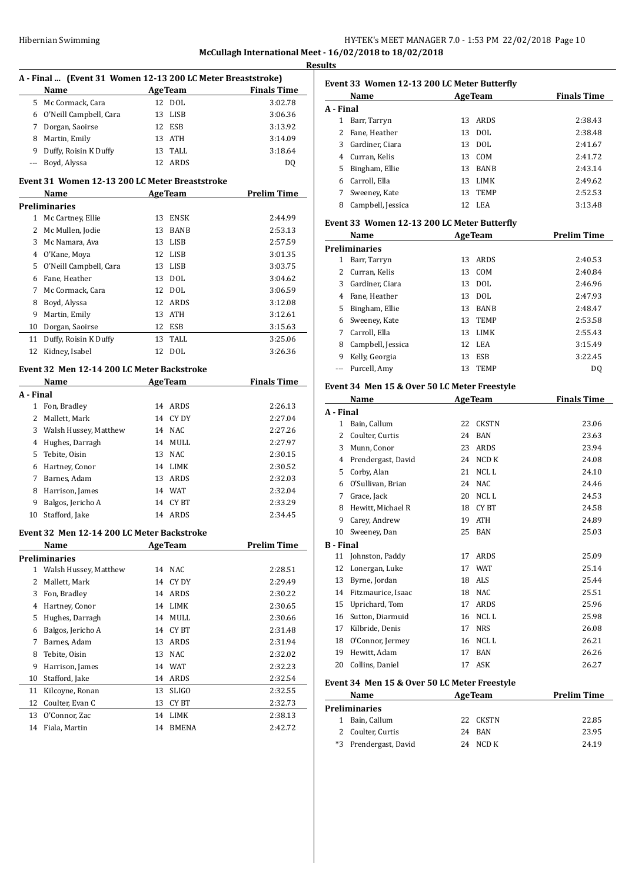# Hibernian Swimming Theory of the HY-TEK's MEET MANAGER 7.0 - 1:53 PM 22/02/2018 Page 10 **McCullagh International Meet - 16/02/2018 to 18/02/2018**

**Results A - Final ... (Event 31 Women 12-13 200 LC Meter Breaststroke) Name Age Team Finals Time**  Mc Cormack, Cara 12 DOL 3:02.78 O'Neill Campbell, Cara 13 LISB 3:06.36 Dorgan, Saoirse 12 ESB 3:13.92 Martin, Emily 13 ATH 3:14.09 9 Duffy, Roisin K Duffy 13 TALL 3:18.64 --- Boyd, Alyssa 12 ARDS DQ **Event 31 Women 12-13 200 LC Meter Breaststroke Name Age Team Prelim Time Preliminaries** Mc Cartney, Ellie 13 ENSK 2:44.99 Mc Mullen, Jodie 13 BANB 2:53.13 Mc Namara, Ava 13 LISB 2:57.59 O'Kane, Moya 12 LISB 3:01.35 O'Neill Campbell, Cara 13 LISB 3:03.75 Fane, Heather 13 DOL 3:04.62 Mc Cormack, Cara 12 DOL 3:06.59 Boyd, Alyssa 12 ARDS 3:12.08 Martin, Emily 13 ATH 3:12.61 Dorgan, Saoirse 12 ESB 3:15.63 11 Duffy, Roisin K Duffy 13 TALL 3:25.06 Kidney, Isabel 12 DOL 3:26.36 **Event 32 Men 12-14 200 LC Meter Backstroke Name Age Team Finals Time A - Final** Fon, Bradley 14 ARDS 2:26.13 Mallett, Mark 14 CY DY 2:27.04 Walsh Hussey, Matthew 14 NAC 2:27.26 Hughes, Darragh 14 MULL 2:27.97 Tebite, Oisin 13 NAC 2:30.15 Hartney, Conor 14 LIMK 2:30.52 Barnes, Adam 13 ARDS 2:32.03 Harrison, James 14 WAT 2:32.04 Balgos, Jericho A 14 CY BT 2:33.29 Stafford, Jake 14 ARDS 2:34.45 **Event 32 Men 12-14 200 LC Meter Backstroke Name Age Team Prelim Time Preliminaries** Walsh Hussey, Matthew 14 NAC 2:28.51 Mallett, Mark 14 CY DY 2:29.49 Fon, Bradley 14 ARDS 2:30.22 Hartney, Conor 14 LIMK 2:30.65 Hughes, Darragh 14 MULL 2:30.66 Balgos, Jericho A 14 CY BT 2:31.48 Barnes, Adam 13 ARDS 2:31.94 Tebite, Oisin 13 NAC 2:32.02 Harrison, James 14 WAT 2:32.23 Stafford, Jake 14 ARDS 2:32.54 Kilcoyne, Ronan 13 SLIGO 2:32.55 12 Coulter, Evan C 13 CY BT 2:32.73 O'Connor, Zac 14 LIMK 2:38.13 Fiala, Martin 14 BMENA 2:42.72

| Event 33  Women 12-13 200 LC Meter Butterfly |                                              |                           |                              |                    |  |  |
|----------------------------------------------|----------------------------------------------|---------------------------|------------------------------|--------------------|--|--|
|                                              | Name                                         | <b>Example 2 Age Team</b> |                              | <b>Finals Time</b> |  |  |
| A - Final                                    |                                              |                           |                              |                    |  |  |
| 1                                            | Barr, Tarryn                                 |                           | 13 ARDS                      | 2:38.43            |  |  |
| 2                                            | Fane, Heather                                | 13                        | DOL                          | 2:38.48            |  |  |
| 3                                            | Gardiner, Ciara                              |                           | 13 DOL                       | 2:41.67            |  |  |
|                                              | 4 Curran, Kelis                              |                           | 13 COM                       | 2:41.72            |  |  |
|                                              | 5 Bingham, Ellie                             |                           | 13 BANB                      | 2:43.14            |  |  |
|                                              | 6 Carroll, Ella                              |                           | 13 LIMK                      | 2:49.62            |  |  |
|                                              | 7 Sweeney, Kate                              |                           | 13 TEMP                      | 2:52.53            |  |  |
|                                              | 8 Campbell, Jessica                          |                           | 12 LEA                       | 3:13.48            |  |  |
| Event 33 Women 12-13 200 LC Meter Butterfly  |                                              |                           |                              |                    |  |  |
|                                              | Name                                         |                           | <b>Example 2.1 Age Team</b>  | <b>Prelim Time</b> |  |  |
|                                              | Preliminaries                                |                           |                              |                    |  |  |
| 1                                            | Barr, Tarryn                                 |                           | 13 ARDS                      | 2:40.53            |  |  |
| 2                                            | Curran, Kelis                                |                           | 13 COM                       | 2:40.84            |  |  |
| 3                                            | Gardiner, Ciara                              |                           | 13 DOL                       | 2:46.96            |  |  |
|                                              | 4 Fane, Heather                              |                           | 13 DOL                       | 2:47.93            |  |  |
|                                              | 5 Bingham, Ellie                             |                           | 13 BANB                      | 2:48.47            |  |  |
|                                              | 6 Sweeney, Kate                              |                           | 13 TEMP                      | 2:53.58            |  |  |
|                                              | 7 Carroll, Ella                              |                           | 13 LIMK                      | 2:55.43            |  |  |
|                                              | 8 Campbell, Jessica                          |                           | 12 LEA                       | 3:15.49            |  |  |
|                                              | 9 Kelly, Georgia                             | 13                        | ESB                          | 3:22.45            |  |  |
| ---                                          | Purcell, Amy                                 | 13                        | <b>TEMP</b>                  | DQ                 |  |  |
|                                              | Event 34 Men 15 & Over 50 LC Meter Freestyle |                           |                              |                    |  |  |
|                                              | <u>Name</u>                                  |                           | <b>Example 2018</b> Age Team | <b>Finals Time</b> |  |  |
| A - Final                                    |                                              |                           |                              |                    |  |  |
| 1                                            | Bain, Callum                                 | 22                        | CKSTN                        | 23.06              |  |  |
| 2                                            | Coulter, Curtis                              |                           | 24 BAN                       | 23.63              |  |  |
| 3                                            | Munn, Conor                                  |                           | 23 ARDS                      | 23.94              |  |  |
| 4                                            | Prendergast, David                           |                           | 24 NCD K                     | 24.08              |  |  |
| 5                                            | Corby, Alan                                  |                           | 21 NCLL                      | 24.10              |  |  |
|                                              | 6 O'Sullivan, Brian                          |                           | 24 NAC                       | 24.46              |  |  |
|                                              | 7 Grace, Jack                                |                           | 20 NCLL                      | 24.53              |  |  |
| 8                                            | Hewitt, Michael R                            |                           | 18 CYBT                      | 24.58              |  |  |
| 9                                            | Carey, Andrew                                | 19                        | <b>ATH</b>                   | 24.89              |  |  |
|                                              | 10 Sweeney, Dan                              | 25                        | <b>BAN</b>                   | 25.03              |  |  |
|                                              | B - Final                                    |                           |                              |                    |  |  |
| 11                                           | Johnston, Paddy                              | 17                        | ARDS                         | 25.09              |  |  |
| 12                                           | Lonergan, Luke                               | 17                        | WAT                          | 25.14              |  |  |
| 13                                           | Byrne, Jordan                                | 18                        | ALS                          | 25.44              |  |  |
| 14                                           | Fitzmaurice, Isaac                           |                           | 18 NAC                       | 25.51              |  |  |
| 15                                           | Uprichard, Tom                               | 17                        | ARDS                         | 25.96              |  |  |
| 16                                           | Sutton, Diarmuid                             | 16                        | NCL L                        | 25.98              |  |  |
| 17                                           | Kilbride, Denis                              | 17                        | <b>NRS</b>                   | 26.08              |  |  |
| 18                                           | O'Connor, Jermey                             |                           | 16 NCLL                      | 26.21              |  |  |
| 19                                           | Hewitt, Adam                                 | 17                        | BAN                          | 26.26              |  |  |
| 20                                           | Collins, Daniel                              | 17                        | ASK                          | 26.27              |  |  |
|                                              | Event 34 Men 15 & Over 50 LC Meter Freestyle |                           |                              |                    |  |  |
|                                              | Name                                         |                           | <b>AgeTeam</b>               | <b>Prelim Time</b> |  |  |
|                                              | <b>Draliminariac</b>                         |                           |                              |                    |  |  |

| Preliminaries         |          |       |
|-----------------------|----------|-------|
| 1 Bain, Callum        | 22 CKSTN | 22.85 |
| 2 Coulter, Curtis     | 24 RAN   | 23.95 |
| *3 Prendergast, David | 24 NCD K | 24.19 |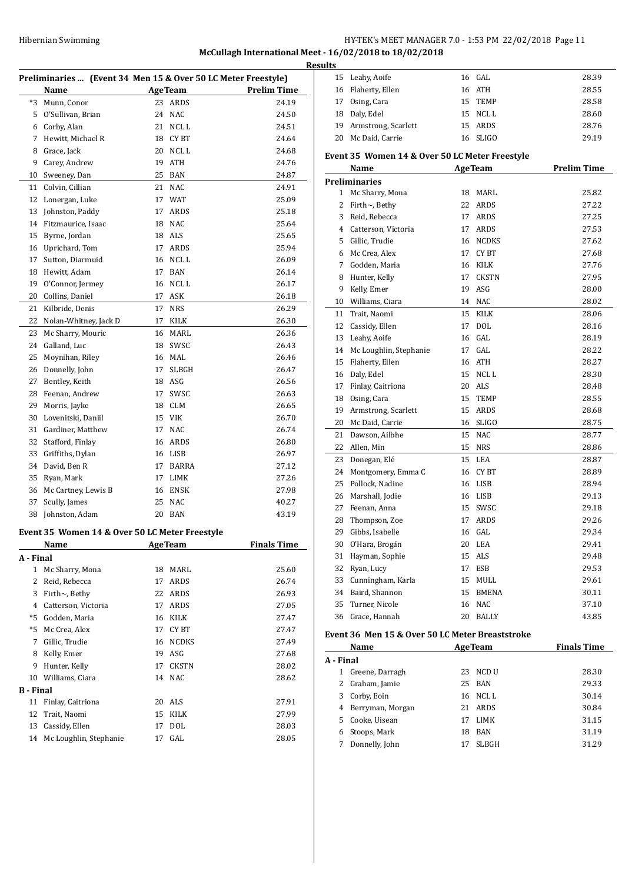# Hibernian Swimming **HY-TEK's MEET MANAGER 7.0** - 1:53 PM 22/02/2018 Page 11

# **McCullagh International Meet - 16/02/2018 to 18/02/2018**

|                  | Preliminaries  (Event 34 Men 15 & Over 50 LC Meter Freestyle) |    |                |                    |
|------------------|---------------------------------------------------------------|----|----------------|--------------------|
|                  | Name                                                          |    | <b>AgeTeam</b> | <b>Prelim Time</b> |
| *3               | Munn, Conor                                                   |    | 23 ARDS        | 24.19              |
|                  | 5 O'Sullivan, Brian                                           |    | 24 NAC         | 24.50              |
|                  | 6 Corby, Alan                                                 | 21 | NCL L          | 24.51              |
| 7                | Hewitt, Michael R                                             | 18 | CY BT          | 24.64              |
| 8                | Grace, Jack                                                   | 20 | NCL L          | 24.68              |
| 9                | Carey, Andrew                                                 | 19 | <b>ATH</b>     | 24.76              |
| 10               | Sweeney, Dan                                                  | 25 | BAN            | 24.87              |
| 11               | Colvin, Cillian                                               | 21 | <b>NAC</b>     | 24.91              |
| 12               |                                                               | 17 | <b>WAT</b>     | 25.09              |
|                  | Lonergan, Luke                                                |    |                |                    |
| 13               | Johnston, Paddy                                               | 17 | ARDS           | 25.18              |
| 14               | Fitzmaurice, Isaac                                            | 18 | <b>NAC</b>     | 25.64              |
| 15               | Byrne, Jordan                                                 |    | 18 ALS         | 25.65              |
| 16               | Uprichard, Tom                                                |    | 17 ARDS        | 25.94              |
| 17               | Sutton, Diarmuid                                              |    | 16 NCL L       | 26.09              |
| 18               | Hewitt, Adam                                                  |    | 17 BAN         | 26.14              |
| 19               | O'Connor, Jermey                                              | 16 | NCL L          | 26.17              |
| 20               | Collins, Daniel                                               | 17 | ASK            | 26.18              |
| 21               | Kilbride, Denis                                               | 17 | <b>NRS</b>     | 26.29              |
| 22               | Nolan-Whitney, Jack D                                         | 17 | KILK           | 26.30              |
| 23               | Mc Sharry, Mouric                                             | 16 | MARL           | 26.36              |
| 24               | Galland, Luc                                                  | 18 | SWSC           | 26.43              |
| 25               | Moynihan, Riley                                               | 16 | MAL            | 26.46              |
| 26               | Donnelly, John                                                | 17 | <b>SLBGH</b>   | 26.47              |
| 27               | Bentley, Keith                                                |    | 18 ASG         | 26.56              |
| 28               | Feenan, Andrew                                                | 17 | SWSC           | 26.63              |
| 29               | Morris, Jayke                                                 | 18 | <b>CLM</b>     | 26.65              |
| 30               | Lovenitski, Daniil                                            |    | 15 VIK         | 26.70              |
|                  | 31 Gardiner, Matthew                                          | 17 | <b>NAC</b>     | 26.74              |
| 32               | Stafford, Finlay                                              |    | 16 ARDS        | 26.80              |
| 33               | Griffiths, Dylan                                              |    | 16 LISB        | 26.97              |
| 34               | David, Ben R                                                  | 17 | BARRA          | 27.12              |
| 35               | Ryan, Mark                                                    | 17 | LIMK           | 27.26              |
| 36               | Mc Cartney, Lewis B                                           | 16 | ENSK           | 27.98              |
| 37               | Scully, James                                                 | 25 | <b>NAC</b>     | 40.27              |
| 38               | Johnston, Adam                                                |    | 20 BAN         | 43.19              |
|                  |                                                               |    |                |                    |
|                  | Event 35 Women 14 & Over 50 LC Meter Freestyle                |    |                |                    |
|                  | Name                                                          |    | <b>AgeTeam</b> | <b>Finals Time</b> |
| A - Final        |                                                               |    |                |                    |
| $\mathbf{1}$     | Mc Sharry, Mona                                               | 18 | MARL           | 25.60              |
| $\overline{2}$   | Reid, Rebecca                                                 | 17 | ARDS           | 26.74              |
| 3                | Firth $\sim$ , Bethy                                          | 22 | ARDS           | 26.93              |
|                  | 4 Catterson, Victoria                                         | 17 | ARDS           | 27.05              |
| $*5$             | Godden, Maria                                                 | 16 | KILK           | 27.47              |
| $*5$             | Mc Crea, Alex                                                 | 17 | CY BT          | 27.47              |
| 7                | Gillic, Trudie                                                | 16 | <b>NCDKS</b>   | 27.49              |
| 8                | Kelly, Emer                                                   | 19 | ASG            | 27.68              |
| 9                | Hunter, Kelly                                                 | 17 | <b>CKSTN</b>   | 28.02              |
| 10               | Williams, Ciara                                               | 14 | <b>NAC</b>     | 28.62              |
| <b>B</b> - Final |                                                               |    |                |                    |
| 11               | Finlay, Caitriona                                             | 20 | ALS            | 27.91              |
| 12               | Trait, Naomi                                                  | 15 | KILK           | 27.99              |
| 13               | Cassidy, Ellen                                                | 17 | DOL            | 28.03              |
| 14               | Mc Loughlin, Stephanie                                        | 17 | GAL            | 28.05              |
|                  |                                                               |    |                |                    |

| <b>Results</b> |                                                |          |                |                    |
|----------------|------------------------------------------------|----------|----------------|--------------------|
|                | 15 Leahy, Aoife                                |          | 16 GAL         | 28.39              |
|                | 16 Flaherty, Ellen                             |          | 16 ATH         | 28.55              |
|                | 17 Osing, Cara                                 |          | 15 TEMP        | 28.58              |
|                | 18 Daly, Edel                                  |          | 15 NCLL        | 28.60              |
|                | 19 Armstrong, Scarlett                         |          | 15 ARDS        | 28.76              |
| 20             | Mc Daid, Carrie                                |          | 16 SLIGO       | 29.19              |
|                | Event 35 Women 14 & Over 50 LC Meter Freestyle |          |                |                    |
|                | Name                                           |          | <b>AgeTeam</b> | <b>Prelim Time</b> |
|                | <b>Preliminaries</b>                           |          |                |                    |
| $\mathbf{1}$   | Mc Sharry, Mona                                |          | 18 MARL        | 25.82              |
| 2              | Firth $\sim$ , Bethy                           |          | 22 ARDS        | 27.22              |
|                | 3 Reid, Rebecca                                |          | 17 ARDS        | 27.25              |
|                | 4 Catterson, Victoria                          |          | 17 ARDS        | 27.53              |
|                | 5 Gillic, Trudie                               |          | 16 NCDKS       | 27.62              |
|                | 6 Mc Crea, Alex                                |          | 17 CYBT        | 27.68              |
|                | 7 Godden, Maria                                |          | 16 KILK        | 27.76              |
|                | 8 Hunter, Kelly                                |          | 17 CKSTN       | 27.95              |
| 9              | Kelly, Emer                                    | 19       | ASG            | 28.00              |
|                | 10 Williams, Ciara                             |          | 14 NAC         | 28.02              |
|                | 11 Trait, Naomi                                | 15       | KILK           | 28.06              |
|                | 12 Cassidy, Ellen                              | 17       | <b>DOL</b>     | 28.16              |
|                | 13 Leahy, Aoife                                |          | $16$ GAL       | 28.19              |
|                | 14 Mc Loughlin, Stephanie                      |          | $17$ GAL       | 28.22              |
|                | 15 Flaherty, Ellen                             |          | 16 ATH         | 28.27              |
|                | 16 Daly, Edel                                  |          | 15 NCLL        | 28.30              |
|                | 17 Finlay, Caitriona                           |          | 20 ALS         | 28.48              |
|                | 18 Osing, Cara                                 |          | 15 TEMP        | 28.55              |
|                | 19 Armstrong, Scarlett                         |          | 15 ARDS        | 28.68              |
|                | 20 Mc Daid, Carrie                             |          | 16 SLIGO       | 28.75              |
|                | 21 Dawson, Ailbhe                              |          | 15 NAC         | 28.77              |
|                | 22 Allen, Min                                  |          | 15 NRS         | 28.86              |
| 23             | Donegan, Elé                                   |          | 15 LEA         | 28.87              |
|                | 24 Montgomery, Emma C                          |          | 16 CYBT        | 28.89              |
| 25             | Pollock, Nadine                                |          | 16 LISB        | 28.94              |
|                | 26 Marshall, Jodie                             |          | 16 LISB        | 29.13              |
| 27             | Feenan, Anna                                   |          | 15 SWSC        | 29.18              |
| 28             | Thompson, Zoe                                  |          | 17 ARDS        | 29.26              |
|                |                                                |          |                |                    |
| 29<br>30       | Gibbs, Isabelle                                | 16<br>20 | GAL<br>LEA     | 29.34<br>29.41     |
| 31             | O'Hara, Brogán                                 | 15       | ALS            | 29.48              |
|                | Hayman, Sophie<br>Ryan, Lucy                   |          |                |                    |
| 32             |                                                | 17       | ESB            | 29.53              |
|                | 33 Cunningham, Karla                           |          | 15 MULL        | 29.61              |
|                | 34 Baird, Shannon                              |          | 15 BMENA       | 30.11              |
| 35             | Turner, Nicole                                 |          | 16 NAC         | 37.10              |
|                | 36 Grace, Hannah                               |          | 20 BALLY       | 43.85              |

### **Event 36 Men 15 & Over 50 LC Meter Breaststroke**

|           | Name             |    | <b>AgeTeam</b> | <b>Finals Time</b> |
|-----------|------------------|----|----------------|--------------------|
| A - Final |                  |    |                |                    |
| 1         | Greene, Darragh  |    | 23 NCD U       | 28.30              |
|           | Graham, Jamie    |    | 25 BAN         | 29.33              |
| 3         | Corby, Eoin      |    | 16 NCLL        | 30.14              |
| 4         | Berryman, Morgan |    | 21 ARDS        | 30.84              |
| 5.        | Cooke, Uisean    | 17 | LIMK           | 31.15              |
| 6         | Stoops, Mark     | 18 | BAN            | 31.19              |
|           | Donnelly, John   | 17 | <b>SLBGH</b>   | 31.29              |
|           |                  |    |                |                    |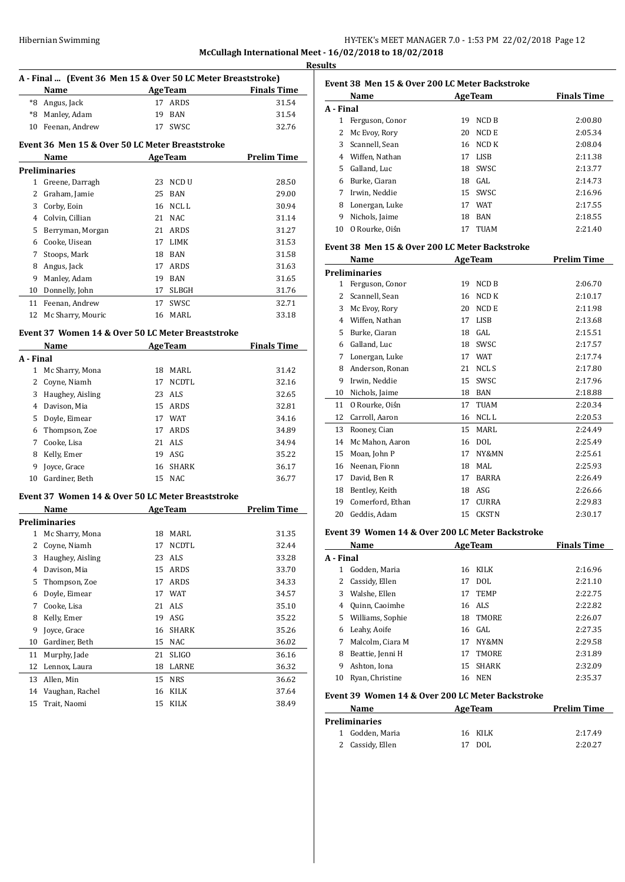| Hibernian Swimming | HY-TEK's MEET MANAGER 7.0 - 1:53 PM 22/02/2018 Page 12  |
|--------------------|---------------------------------------------------------|
|                    | McCullagh International Meet - 16/02/2018 to 18/02/2018 |

**Results**

|           | A - Final  (Event 36 Men 15 & Over 50 LC Meter Breaststroke)                                                        |                 |                |                                                 |
|-----------|---------------------------------------------------------------------------------------------------------------------|-----------------|----------------|-------------------------------------------------|
|           | Name                                                                                                                |                 |                | <b>Example 2018</b> Age Team <b>Finals</b> Time |
|           | *8 Angus, Jack                                                                                                      |                 | 17 ARDS        | 31.54                                           |
|           | *8 Manley, Adam                                                                                                     |                 | 19 BAN         | 31.54                                           |
|           | 10 Feenan, Andrew                                                                                                   |                 | 17 SWSC        | 32.76                                           |
|           | Event 36 Men 15 & Over 50 LC Meter Breaststroke                                                                     |                 |                |                                                 |
|           | Name                                                                                                                |                 | <b>AgeTeam</b> | <b>Prelim Time</b>                              |
|           | Preliminaries                                                                                                       |                 |                |                                                 |
|           | 1 Greene, Darragh                                                                                                   |                 | 23 NCD U       | 28.50                                           |
|           | 2 Graham, Jamie                                                                                                     |                 | 25 BAN         | 29.00                                           |
|           | 3 Corby, Eoin                                                                                                       |                 | 16 NCL L       | 30.94                                           |
|           | 4 Colvin, Cillian                                                                                                   |                 | 21 NAC         | 31.14                                           |
|           | 5 Berryman, Morgan                                                                                                  |                 | 21 ARDS        | 31.27                                           |
|           | 6 Cooke, Uisean                                                                                                     |                 | 17 LIMK        | 31.53                                           |
|           | 7 Stoops, Mark                                                                                                      |                 | 18 BAN         | 31.58                                           |
|           | 8 Angus, Jack                                                                                                       |                 | 17 ARDS        | 31.63                                           |
|           | 9 Manley, Adam                                                                                                      |                 | 19 BAN         | 31.65                                           |
|           | 10 Donnelly, John                                                                                                   |                 | 17 SLBGH       | 31.76                                           |
|           | 11 Feenan, Andrew                                                                                                   |                 | 17 SWSC        | 32.71                                           |
|           | 12 Mc Sharry, Mouric                                                                                                |                 | 16 MARL        | 33.18                                           |
|           | Event 37 Women 14 & Over 50 LC Meter Breaststroke<br>Name AgeTeam                                                   |                 |                | <b>Finals Time</b>                              |
| A - Final |                                                                                                                     |                 |                |                                                 |
|           | 1 Mc Sharry, Mona                                                                                                   |                 | 18 MARL        | 31.42                                           |
|           | 2 Coyne, Niamh                                                                                                      | 17 <sub>2</sub> | NCDTL          | 32.16                                           |
|           | 3 Haughey, Aisling                                                                                                  |                 | 23 ALS         | 32.65                                           |
|           | 4 Davison, Mia                                                                                                      |                 | 15 ARDS        | 32.81                                           |
|           | 5 Doyle, Eimear                                                                                                     |                 | 17 WAT         | 34.16                                           |
|           | 6 Thompson, Zoe                                                                                                     |                 | 17 ARDS        | 34.89                                           |
|           | 7 Cooke, Lisa                                                                                                       |                 | 21 ALS         | 34.94                                           |
|           |                                                                                                                     |                 | 19 ASG         | 35.22                                           |
|           | 8 Kelly, Emer<br>9 Joyce, Grace                                                                                     |                 | 16 SHARK       |                                                 |
|           | 10 Gardiner, Beth                                                                                                   |                 | 15 NAC         | 36.17<br>36.77                                  |
|           |                                                                                                                     |                 |                |                                                 |
|           | Event 37 Women 14 & Over 50 LC Meter Breaststroke<br>Name<br><u> 1990 - Jan James Barnett, amerikansk politiker</u> |                 | AgeTeam        | <b>Prelim Time</b>                              |
|           | Preliminaries                                                                                                       |                 |                |                                                 |
| 1         | Mc Sharry, Mona                                                                                                     | 18              | MARL           | 31.35                                           |
| 2         | Coyne, Niamh                                                                                                        | 17              | NCDTL          | 32.44                                           |
| 3         | Haughey, Aisling                                                                                                    | 23              | <b>ALS</b>     | 33.28                                           |
| 4         | Davison, Mia                                                                                                        | 15              | ARDS           | 33.70                                           |
| 5         | Thompson, Zoe                                                                                                       | 17              | ARDS           | 34.33                                           |
| 6         | Doyle, Eimear                                                                                                       | 17              | WAT            | 34.57                                           |
| 7         | Cooke, Lisa                                                                                                         | 21              | ALS            | 35.10                                           |
| 8         | Kelly, Emer                                                                                                         | 19              | ASG            | 35.22                                           |
| 9         | Joyce, Grace                                                                                                        | 16              | SHARK          | 35.26                                           |
|           | Gardiner, Beth                                                                                                      | 15              | NAC            | 36.02                                           |
|           |                                                                                                                     |                 |                |                                                 |
| 10        | Murphy, Jade                                                                                                        | 21              | SLIGO<br>LARNE | 36.16                                           |
| 11        |                                                                                                                     |                 |                |                                                 |
| 12        | Lennox, Laura                                                                                                       | 18              |                | 36.32                                           |
| 13        | Allen, Min                                                                                                          | 15              | <b>NRS</b>     | 36.62                                           |
| 14<br>15  | Vaughan, Rachel<br>Trait, Naomi                                                                                     | 16<br>15        | KILK<br>KILK   | 37.64<br>38.49                                  |

|           | <b>Name</b>     |    | <b>AgeTeam</b> | <b>Finals Time</b> |
|-----------|-----------------|----|----------------|--------------------|
| A - Final |                 |    |                |                    |
|           | Ferguson, Conor | 19 | NCD B          | 2:00.80            |
| 2         | Mc Evoy, Rory   | 20 | NCD E          | 2:05.34            |
| 3         | Scannell, Sean  | 16 | NCD K          | 2:08.04            |
| 4         | Wiffen, Nathan  | 17 | LISB           | 2:11.38            |
| 5.        | Galland, Luc    | 18 | <b>SWSC</b>    | 2:13.77            |
| 6         | Burke, Ciaran   | 18 | GAL.           | 2:14.73            |
| 7         | Irwin, Neddie   |    | 15 SWSC        | 2:16.96            |
| 8         | Lonergan, Luke  | 17 | WAT            | 2:17.55            |
| 9         | Nichols, Jaime  | 18 | <b>BAN</b>     | 2:18.55            |
| 10        | O Rourke, Oiśn  | 17 | <b>TUAM</b>    | 2:21.40            |

## **Event 38 Men 15 & Over 200 LC Meter Backstroke**

|    | Name                                             |    | <b>AgeTeam</b> | <b>Prelim Time</b> |
|----|--------------------------------------------------|----|----------------|--------------------|
|    | <b>Preliminaries</b>                             |    |                |                    |
| 1  | Ferguson, Conor                                  | 19 | <b>NCD B</b>   | 2:06.70            |
| 2  | Scannell, Sean                                   | 16 | NCD K          | 2:10.17            |
| 3  | Mc Evoy, Rory                                    | 20 | <b>NCDE</b>    | 2:11.98            |
| 4  | Wiffen, Nathan                                   | 17 | <b>LISB</b>    | 2:13.68            |
| 5. | Burke, Ciaran                                    | 18 | GAL.           | 2:15.51            |
| 6  | Galland, Luc                                     | 18 | SWSC           | 2:17.57            |
| 7  | Lonergan, Luke                                   | 17 | <b>WAT</b>     | 2:17.74            |
| 8  | Anderson, Ronan                                  | 21 | <b>NCLS</b>    | 2:17.80            |
| 9  | Irwin, Neddie                                    | 15 | SWSC           | 2:17.96            |
| 10 | Nichols, Jaime                                   | 18 | <b>BAN</b>     | 2:18.88            |
| 11 | O Rourke, Oiśn                                   | 17 | <b>TUAM</b>    | 2:20.34            |
| 12 | Carroll, Aaron                                   | 16 | NCL L          | 2:20.53            |
| 13 | Rooney, Cian                                     | 15 | MARL           | 2:24.49            |
| 14 | Mc Mahon, Aaron                                  | 16 | <b>DOL</b>     | 2:25.49            |
| 15 | Moan, John P                                     | 17 | NY&MN          | 2:25.61            |
| 16 | Neenan, Fionn                                    | 18 | MAL            | 2:25.93            |
| 17 | David, Ben R                                     | 17 | <b>BARRA</b>   | 2:26.49            |
| 18 | Bentley, Keith                                   | 18 | ASG            | 2:26.66            |
| 19 | Comerford, Ethan                                 | 17 | <b>CURRA</b>   | 2:29.83            |
| 20 | Geddis, Adam                                     | 15 | <b>CKSTN</b>   | 2:30.17            |
|    | Event 39 Women 14 & Over 200 LC Meter Backstroke |    |                |                    |
|    | Name                                             |    | <b>AgeTeam</b> | <b>Finals Time</b> |

|    | Godden, Maria    |    |              |         |
|----|------------------|----|--------------|---------|
| 1  |                  |    | 16 KILK      | 2:16.96 |
|    | 2 Cassidy, Ellen | 17 | DOL          | 2:21.10 |
| 3  | Walshe, Ellen    | 17 | <b>TEMP</b>  | 2:22.75 |
| 4  | Quinn, Caoimhe   |    | 16 ALS       | 2:22.82 |
| 5. | Williams, Sophie | 18 | TMORE        | 2:26.07 |
| 6  | Leahy, Aoife     |    | 16 GAL       | 2:27.35 |
| 7  | Malcolm, Ciara M | 17 | NY&MN        | 2:29.58 |
| 8  | Beattie, Jenni H | 17 | <b>TMORE</b> | 2:31.89 |
| 9  | Ashton, Iona     | 15 | <b>SHARK</b> | 2:32.09 |
| 10 | Ryan, Christine  | 16 | <b>NEN</b>   | 2:35.37 |

## **Event 39 Women 14 & Over 200 LC Meter Backstroke**

| Name                 | <b>AgeTeam</b> | <b>Prelim Time</b> |  |
|----------------------|----------------|--------------------|--|
| <b>Preliminaries</b> |                |                    |  |
| 1 Godden, Maria      | 16 KILK        | 2:17.49            |  |
| 2 Cassidy, Ellen     | DOL<br>17      | 2:20.27            |  |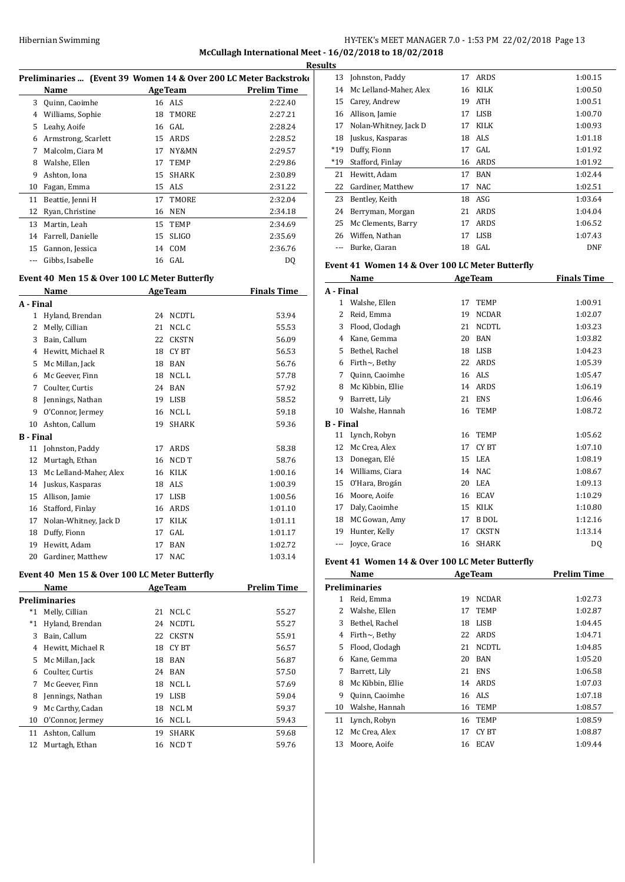**McCullagh International Meet - 16/02/2018 to 18/02/2018**

| Preliminaries  (Event 39 Women 14 & Over 200 LC Meter Backstroko |                     |    |                |             |  |
|------------------------------------------------------------------|---------------------|----|----------------|-------------|--|
|                                                                  | Name                |    | <b>AgeTeam</b> | Prelim Time |  |
| 3                                                                | Quinn, Caoimhe      |    | 16 ALS         | 2:22.40     |  |
| 4                                                                | Williams, Sophie    |    | 18 TMORE       | 2:27.21     |  |
| 5                                                                | Leahy, Aoife        |    | 16 GAL         | 2:28.24     |  |
| 6                                                                | Armstrong, Scarlett | 15 | ARDS           | 2:28.52     |  |
| 7                                                                | Malcolm, Ciara M    | 17 | NY&MN          | 2:29.57     |  |
| 8                                                                | Walshe, Ellen       | 17 | <b>TEMP</b>    | 2:29.86     |  |
| 9                                                                | Ashton, Iona        | 15 | SHARK          | 2:30.89     |  |
| 10                                                               | Fagan, Emma         |    | 15 ALS         | 2:31.22     |  |
| 11                                                               | Beattie, Jenni H    | 17 | TMORE          | 2:32.04     |  |
| 12                                                               | Ryan, Christine     | 16 | <b>NEN</b>     | 2:34.18     |  |
| 13                                                               | Martin, Leah        | 15 | <b>TEMP</b>    | 2:34.69     |  |
| 14                                                               | Farrell, Danielle   | 15 | <b>SLIGO</b>   | 2:35.69     |  |
| 15                                                               | Gannon, Jessica     | 14 | COM            | 2:36.76     |  |
|                                                                  | Gibbs, Isabelle     |    | 16 GAL         | DO          |  |

## **Event 40 Men 15 & Over 100 LC Meter Butterfly**

|                  | <b>Name</b>            |    | <b>AgeTeam</b> | <b>Finals Time</b> |
|------------------|------------------------|----|----------------|--------------------|
| A - Final        |                        |    |                |                    |
| 1                | Hyland, Brendan        | 24 | <b>NCDTL</b>   | 53.94              |
| 2                | Melly, Cillian         | 21 | NCL C          | 55.53              |
| 3                | Bain, Callum           | 22 | <b>CKSTN</b>   | 56.09              |
| 4                | Hewitt, Michael R      | 18 | CY BT          | 56.53              |
| 5                | Mc Millan, Jack        | 18 | <b>BAN</b>     | 56.76              |
| 6                | Mc Geever, Finn        | 18 | NCL L          | 57.78              |
| 7                | Coulter, Curtis        | 24 | <b>BAN</b>     | 57.92              |
| 8                | Jennings, Nathan       | 19 | <b>LISB</b>    | 58.52              |
| 9                | O'Connor, Jermey       | 16 | NCL L          | 59.18              |
| 10               | Ashton, Callum         | 19 | <b>SHARK</b>   | 59.36              |
| <b>B</b> - Final |                        |    |                |                    |
| 11               | Johnston, Paddy        | 17 | <b>ARDS</b>    | 58.38              |
| 12               | Murtagh, Ethan         | 16 | NCD T          | 58.76              |
| 13               | Mc Lelland-Maher, Alex | 16 | <b>KILK</b>    | 1:00.16            |
| 14               | Juskus, Kasparas       | 18 | ALS            | 1:00.39            |
| 15               | Allison, Jamie         | 17 | <b>LISB</b>    | 1:00.56            |
| 16               | Stafford, Finlay       | 16 | <b>ARDS</b>    | 1:01.10            |
| 17               | Nolan-Whitney, Jack D  | 17 | <b>KILK</b>    | 1:01.11            |
| 18               | Duffy, Fionn           | 17 | GAL.           | 1:01.17            |
| 19               | Hewitt, Adam           | 17 | <b>BAN</b>     | 1:02.72            |
| 20               | Gardiner, Matthew      | 17 | <b>NAC</b>     | 1:03.14            |

## **Event 40 Men 15 & Over 100 LC Meter Butterfly**

| Name                 | <b>AgeTeam</b> |              | <b>Prelim Time</b> |
|----------------------|----------------|--------------|--------------------|
| <b>Preliminaries</b> |                |              |                    |
| Melly, Cillian       | 21             | NCL C        | 55.27              |
| Hyland, Brendan      | 24             | NCDTL        | 55.27              |
| Bain, Callum         | 22             | <b>CKSTN</b> | 55.91              |
| Hewitt, Michael R    | 18             | CY BT        | 56.57              |
| Mc Millan, Jack      | 18             | <b>BAN</b>   | 56.87              |
| Coulter, Curtis      | 24             | <b>BAN</b>   | 57.50              |
| Mc Geever, Finn      | 18             | NCL L        | 57.69              |
| Jennings, Nathan     | 19             | LISB         | 59.04              |
| Mc Carthy, Cadan     | 18             | <b>NCL M</b> | 59.37              |
| O'Connor, Jermey     | 16             | NCL L        | 59.43              |
| Ashton, Callum       | 19             | <b>SHARK</b> | 59.68              |
| Murtagh, Ethan       | 16             | NCD T        | 59.76              |
|                      |                |              |                    |

|    | <b>Results</b> |                        |    |             |            |
|----|----------------|------------------------|----|-------------|------------|
| ٢ı |                | 13 Johnston, Paddy     | 17 | ARDS        | 1:00.15    |
| -  | 14             | Mc Lelland-Maher, Alex | 16 | KILK        | 1:00.50    |
|    | 15             | Carey, Andrew          | 19 | <b>ATH</b>  | 1:00.51    |
|    | 16             | Allison, Jamie         | 17 | LISB        | 1:00.70    |
|    | 17             | Nolan-Whitney, Jack D  | 17 | <b>KILK</b> | 1:00.93    |
|    | 18             | Juskus, Kasparas       | 18 | ALS         | 1:01.18    |
|    | $*19$          | Duffy, Fionn           | 17 | GAL         | 1:01.92    |
|    | $*19$          | Stafford, Finlay       | 16 | ARDS        | 1:01.92    |
|    | 21             | Hewitt, Adam           | 17 | BAN         | 1:02.44    |
|    | 22             | Gardiner, Matthew      | 17 | <b>NAC</b>  | 1:02.51    |
|    | 23             | Bentley, Keith         | 18 | ASG         | 1:03.64    |
|    | 24             | Berryman, Morgan       | 21 | ARDS        | 1:04.04    |
|    | 25             | Mc Clements, Barry     | 17 | ARDS        | 1:06.52    |
|    | 26             | Wiffen, Nathan         | 17 | LISB        | 1:07.43    |
|    |                | Burke, Ciaran          | 18 | GAL         | <b>DNF</b> |

## **Event 41 Women 14 & Over 100 LC Meter Butterfly**

|           | Name                 |    | <b>AgeTeam</b> | <b>Finals Time</b> |
|-----------|----------------------|----|----------------|--------------------|
| A - Final |                      |    |                |                    |
| 1         | Walshe, Ellen        | 17 | TEMP           | 1:00.91            |
| 2         | Reid, Emma           | 19 | <b>NCDAR</b>   | 1:02.07            |
| 3         | Flood, Clodagh       | 21 | <b>NCDTL</b>   | 1:03.23            |
| 4         | Kane, Gemma          | 20 | <b>BAN</b>     | 1:03.82            |
| 5         | Bethel, Rachel       | 18 | <b>LISB</b>    | 1:04.23            |
| 6         | Firth $\sim$ , Bethy | 22 | ARDS           | 1:05.39            |
| 7         | Quinn, Caoimhe       | 16 | ALS            | 1:05.47            |
| 8         | Mc Kibbin, Ellie     | 14 | ARDS           | 1:06.19            |
| 9         | Barrett, Lily        | 21 | <b>ENS</b>     | 1:06.46            |
| 10        | Walshe, Hannah       | 16 | TEMP           | 1:08.72            |
| B - Final |                      |    |                |                    |
| 11        | Lynch, Robyn         | 16 | <b>TEMP</b>    | 1:05.62            |
| 12        | Mc Crea, Alex        | 17 | CY BT          | 1:07.10            |
| 13        | Donegan, Elé         | 15 | LEA            | 1:08.19            |
| 14        | Williams, Ciara      | 14 | <b>NAC</b>     | 1:08.67            |
| 15        | O'Hara, Brogán       | 20 | LEA            | 1:09.13            |
| 16        | Moore, Aoife         | 16 | <b>ECAV</b>    | 1:10.29            |
| 17        | Daly, Caoimhe        | 15 | <b>KILK</b>    | 1:10.80            |
| 18        | MC Gowan, Amy        | 17 | <b>B</b> DOL   | 1:12.16            |
| 19        | Hunter, Kelly        | 17 | <b>CKSTN</b>   | 1:13.14            |
| $---$     | Joyce, Grace         | 16 | <b>SHARK</b>   | DO                 |

### **Event 41 Women 14 & Over 100 LC Meter Butterfly**

|    | Name                 |    | <b>AgeTeam</b> | <b>Prelim Time</b> |  |  |
|----|----------------------|----|----------------|--------------------|--|--|
|    | <b>Preliminaries</b> |    |                |                    |  |  |
| 1  | Reid, Emma           | 19 | <b>NCDAR</b>   | 1:02.73            |  |  |
| 2  | Walshe, Ellen        | 17 | <b>TEMP</b>    | 1:02.87            |  |  |
| 3  | Bethel, Rachel       | 18 | LISB           | 1:04.45            |  |  |
| 4  | Firth $\sim$ , Bethy | 22 | ARDS           | 1:04.71            |  |  |
| 5. | Flood, Clodagh       | 21 | <b>NCDTL</b>   | 1:04.85            |  |  |
| 6  | Kane, Gemma          | 20 | <b>BAN</b>     | 1:05.20            |  |  |
| 7  | Barrett, Lily        | 21 | <b>ENS</b>     | 1:06.58            |  |  |
| 8  | Mc Kibbin, Ellie     | 14 | ARDS           | 1:07.03            |  |  |
| 9  | Quinn, Caoimhe       | 16 | ALS            | 1:07.18            |  |  |
| 10 | Walshe, Hannah       | 16 | <b>TEMP</b>    | 1:08.57            |  |  |
| 11 | Lynch, Robyn         | 16 | <b>TEMP</b>    | 1:08.59            |  |  |
| 12 | Mc Crea, Alex        | 17 | CY BT          | 1:08.87            |  |  |
| 13 | Moore, Aoife         | 16 | <b>ECAV</b>    | 1:09.44            |  |  |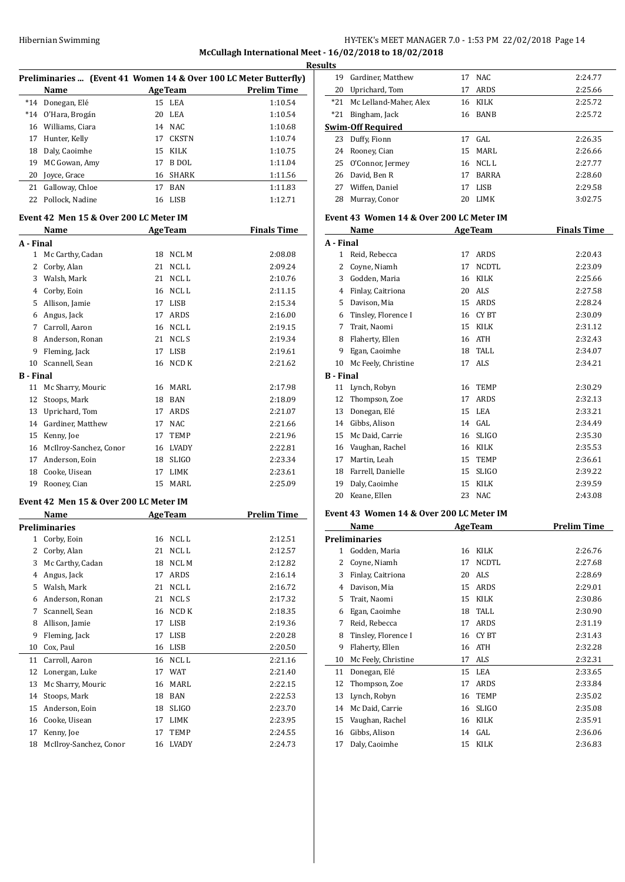## Hibernian Swimming HY-TEK's MEET MANAGER 7.0 - 1:53 PM 22/02/2018 Page 14 **McCullagh International Meet - 16/02/2018 to 18/02/2018**

|                                                                  |                    |    |                |                    | <b>Results</b> |  |
|------------------------------------------------------------------|--------------------|----|----------------|--------------------|----------------|--|
| Preliminaries  (Event 41 Women 14 & Over 100 LC Meter Butterfly) |                    |    |                |                    |                |  |
|                                                                  | Name               |    | <b>AgeTeam</b> | <b>Prelim Time</b> | 2(             |  |
| $*14$                                                            | Donegan, Elé       |    | 15 LEA         | 1:10.54            | $*2$           |  |
|                                                                  | *14 O'Hara, Brogán |    | 20 LEA         | 1:10.54            | $*2'$          |  |
| 16                                                               | Williams, Ciara    |    | 14 NAC         | 1:10.68            | Swii           |  |
| 17                                                               | Hunter, Kelly      |    | 17 CKSTN       | 1:10.74            | 2:             |  |
| 18                                                               | Daly, Caoimhe      |    | 15 KILK        | 1:10.75            | 2 <sup>2</sup> |  |
| 19                                                               | MC Gowan, Amy      | 17 | B DOL          | 1:11.04            | 2!             |  |
| 20                                                               | Joyce, Grace       |    | 16 SHARK       | 1:11.56            | 2 <sub>0</sub> |  |

# **Event 42 Men 15 & Over 200 LC Meter IM**

|                  | Name                   |    | <b>AgeTeam</b> | <b>Finals Time</b> |
|------------------|------------------------|----|----------------|--------------------|
| A - Final        |                        |    |                |                    |
| 1                | Mc Carthy, Cadan       | 18 | NCL M          | 2:08.08            |
| 2                | Corby, Alan            | 21 | <b>NCLL</b>    | 2:09.24            |
| 3                | Walsh, Mark            | 21 | NCL L          | 2:10.76            |
| 4                | Corby, Eoin            | 16 | NCL L          | 2:11.15            |
| 5                | Allison, Jamie         | 17 | <b>LISB</b>    | 2:15.34            |
| 6                | Angus, Jack            | 17 | <b>ARDS</b>    | 2:16.00            |
| 7                | Carroll, Aaron         | 16 | NCL L          | 2:19.15            |
| 8                | Anderson, Ronan        | 21 | NCL S          | 2:19.34            |
| 9                | Fleming, Jack          | 17 | <b>LISB</b>    | 2:19.61            |
| 10               | Scannell, Sean         | 16 | NCD K          | 2:21.62            |
| <b>B</b> - Final |                        |    |                |                    |
| 11               | Mc Sharry, Mouric      | 16 | MARI.          | 2:17.98            |
| 12               | Stoops, Mark           | 18 | <b>BAN</b>     | 2:18.09            |
| 13               | Uprichard, Tom         | 17 | <b>ARDS</b>    | 2:21.07            |
| 14               | Gardiner, Matthew      | 17 | <b>NAC</b>     | 2:21.66            |
| 15               | Kenny, Joe             | 17 | <b>TEMP</b>    | 2:21.96            |
| 16               | McIlroy-Sanchez, Conor | 16 | <b>LVADY</b>   | 2:22.81            |
| 17               | Anderson, Eoin         | 18 | <b>SLIGO</b>   | 2:23.34            |
| 18               | Cooke, Uisean          | 17 | <b>LIMK</b>    | 2:23.61            |
| 19               | Rooney, Cian           | 15 | MARL           | 2:25.09            |
|                  |                        |    |                |                    |

21 Galloway, Chloe 17 BAN 1:11.83 Pollock, Nadine 16 LISB 1:12.71

## **Event 42 Men 15 & Over 200 LC Meter IM**

|              | Name                   |    | <b>AgeTeam</b> | Prelim Time |
|--------------|------------------------|----|----------------|-------------|
|              | Preliminaries          |    |                |             |
| $\mathbf{1}$ | Corby, Eoin            | 16 | NCL L          | 2:12.51     |
| 2            | Corby, Alan            | 21 | NCL L          | 2:12.57     |
| 3            | Mc Carthy, Cadan       | 18 | <b>NCLM</b>    | 2:12.82     |
| 4            | Angus, Jack            | 17 | ARDS           | 2:16.14     |
| 5            | Walsh, Mark            | 21 | NCL L          | 2:16.72     |
| 6            | Anderson, Ronan        | 21 | NCL S          | 2:17.32     |
| 7            | Scannell, Sean         | 16 | NCD K          | 2:18.35     |
| 8            | Allison, Jamie         | 17 | <b>LISB</b>    | 2:19.36     |
| 9            | Fleming, Jack          | 17 | <b>LISB</b>    | 2:20.28     |
| 10           | Cox, Paul              | 16 | <b>LISB</b>    | 2:20.50     |
| 11           | Carroll, Aaron         | 16 | NCL L          | 2:21.16     |
| 12           | Lonergan, Luke         | 17 | <b>WAT</b>     | 2:21.40     |
| 13           | Mc Sharry, Mouric      | 16 | MARL           | 2:22.15     |
| 14           | Stoops, Mark           | 18 | <b>BAN</b>     | 2:22.53     |
| 15           | Anderson, Eoin         | 18 | <b>SLIGO</b>   | 2:23.70     |
| 16           | Cooke, Uisean          | 17 | <b>LIMK</b>    | 2:23.95     |
| 17           | Kenny, Joe             | 17 | TEMP           | 2:24.55     |
| 18           | McIlroy-Sanchez, Conor | 16 | <b>LVADY</b>   | 2:24.73     |

| 19               | Gardiner, Matthew                        | 17 | <b>NAC</b>     | 2:24.77            |
|------------------|------------------------------------------|----|----------------|--------------------|
| 20               | Uprichard, Tom                           | 17 | <b>ARDS</b>    | 2:25.66            |
| $*21$            | Mc Lelland-Maher, Alex                   | 16 | KILK           | 2:25.72            |
| $*21$            | Bingham, Jack                            | 16 | <b>BANB</b>    | 2:25.72            |
|                  | Swim-Off Required                        |    |                |                    |
| 23               | Duffy, Fionn                             | 17 | GAL            | 2:26.35            |
| 24               | Rooney, Cian                             | 15 | <b>MARL</b>    | 2:26.66            |
| 25               | O'Connor, Jermey                         | 16 | NCL L          | 2:27.77            |
| 26               | David, Ben R                             | 17 | <b>BARRA</b>   | 2:28.60            |
| 27               | Wiffen, Daniel                           | 17 | <b>LISB</b>    | 2:29.58            |
| 28               | Murray, Conor                            | 20 | <b>LIMK</b>    | 3:02.75            |
|                  | Event 43 Women 14 & Over 200 LC Meter IM |    |                |                    |
|                  | Name                                     |    | <b>AgeTeam</b> | <b>Finals Time</b> |
| A - Final        |                                          |    |                |                    |
| 1                | Reid, Rebecca                            | 17 | ARDS           | 2:20.43            |
| 2                | Coyne, Niamh                             | 17 | <b>NCDTL</b>   | 2:23.09            |
| 3                | Godden, Maria                            | 16 | <b>KILK</b>    | 2:25.66            |
| 4                | Finlay, Caitriona                        | 20 | ALS            | 2:27.58            |
| 5                | Davison, Mia                             | 15 | <b>ARDS</b>    | 2:28.24            |
| 6                | Tinsley, Florence I                      | 16 | <b>CYBT</b>    | 2:30.09            |
| 7                | Trait, Naomi                             | 15 | KILK           | 2:31.12            |
| 8                | Flaherty, Ellen                          | 16 | <b>ATH</b>     | 2:32.43            |
| 9                | Egan, Caoimhe                            | 18 | <b>TALL</b>    | 2:34.07            |
| 10               | Mc Feely, Christine                      | 17 | <b>ALS</b>     | 2:34.21            |
| <b>B</b> - Final |                                          |    |                |                    |
| 11               | Lynch, Robyn                             | 16 | <b>TEMP</b>    | 2:30.29            |
| 12               | Thompson, Zoe                            | 17 | <b>ARDS</b>    | 2:32.13            |
| 13               | Donegan, Elé                             | 15 | <b>LEA</b>     | 2:33.21            |
| 14               | Gibbs, Alison                            | 14 | GAL            | 2:34.49            |
| 15               | Mc Daid, Carrie                          | 16 | <b>SLIGO</b>   | 2:35.30            |
| 16               | Vaughan, Rachel                          | 16 | KILK           | 2:35.53            |
| 17               | Martin, Leah                             | 15 | <b>TEMP</b>    | 2:36.61            |
| 18               | Farrell, Danielle                        | 15 | <b>SLIGO</b>   | 2:39.22            |

# **Event 43 Women 14 & Over 200 LC Meter IM**

|    | Name                 |    | <b>AgeTeam</b> | <b>Prelim Time</b> |
|----|----------------------|----|----------------|--------------------|
|    | <b>Preliminaries</b> |    |                |                    |
| 1  | Godden, Maria        | 16 | <b>KILK</b>    | 2:26.76            |
| 2  | Coyne, Niamh         | 17 | <b>NCDTL</b>   | 2:27.68            |
| 3  | Finlay, Caitriona    | 20 | <b>ALS</b>     | 2:28.69            |
| 4  | Davison, Mia         | 15 | ARDS           | 2:29.01            |
| 5  | Trait, Naomi         | 15 | KILK           | 2:30.86            |
| 6  | Egan, Caoimhe        | 18 | TALL           | 2:30.90            |
| 7  | Reid, Rebecca        | 17 | ARDS           | 2:31.19            |
| 8  | Tinsley, Florence I  | 16 | CY BT          | 2:31.43            |
| 9  | Flaherty, Ellen      | 16 | <b>ATH</b>     | 2:32.28            |
| 10 | Mc Feely, Christine  | 17 | ALS            | 2:32.31            |
| 11 | Donegan, Elé         | 15 | LEA            | 2:33.65            |
| 12 | Thompson, Zoe        | 17 | ARDS           | 2:33.84            |
| 13 | Lynch, Robyn         | 16 | <b>TEMP</b>    | 2:35.02            |
| 14 | Mc Daid, Carrie      | 16 | <b>SLIGO</b>   | 2:35.08            |
| 15 | Vaughan, Rachel      | 16 | <b>KILK</b>    | 2:35.91            |
| 16 | Gibbs, Alison        | 14 | GAL            | 2:36.06            |
| 17 | Daly, Caoimhe        | 15 | KILK           | 2:36.83            |

 Daly, Caoimhe 15 KILK 2:39.59 Keane, Ellen 23 NAC 2:43.08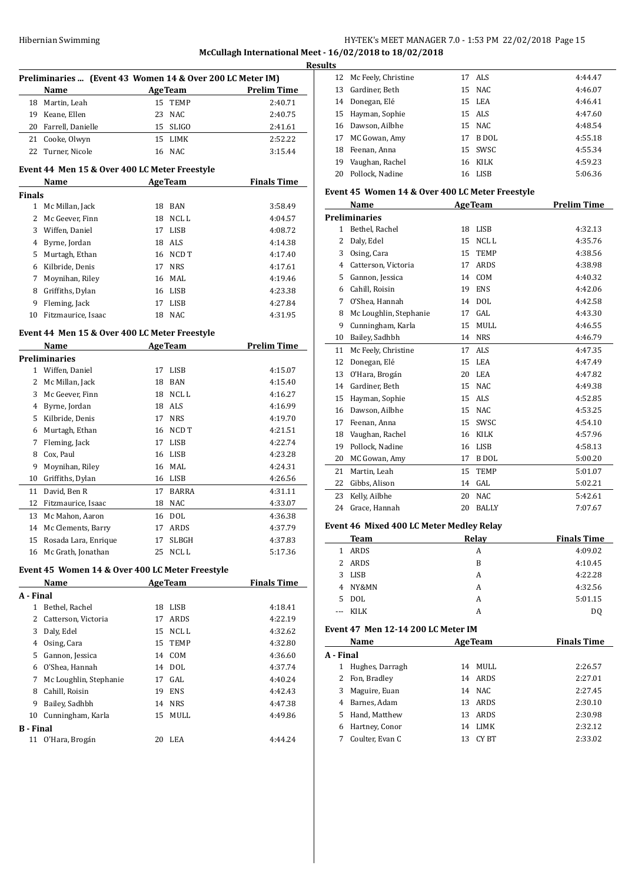# HY-TEK's MEET MANAGER 7.0 - 1:53 PM 22/02/2018 Page 15 **McCullagh International Meet - 16/02/2018 to 18/02/2018**

|                  | Preliminaries  (Event 43 Women 14 & Over 200 LC Meter IM) |    |                |                    |
|------------------|-----------------------------------------------------------|----|----------------|--------------------|
|                  | Name                                                      |    | <b>AgeTeam</b> | <b>Prelim Time</b> |
|                  | 18 Martin, Leah                                           | 15 | TEMP           | 2:40.71            |
| 19               | Keane, Ellen                                              | 23 | NAC            | 2:40.75            |
| 20               | Farrell, Danielle                                         |    | 15 SLIGO       | 2:41.61            |
|                  | 21 Cooke, Olwyn                                           | 15 | LIMK           | 2:52.22            |
| 22               | Turner, Nicole                                            |    | 16 NAC         | 3:15.44            |
|                  | Event 44 Men 15 & Over 400 LC Meter Freestyle             |    |                |                    |
|                  | Name                                                      |    | <b>AgeTeam</b> | <b>Finals Time</b> |
| <b>Finals</b>    |                                                           |    |                |                    |
| 1                | Mc Millan, Jack                                           | 18 | BAN            | 3:58.49            |
| 2                | Mc Geever, Finn                                           | 18 | NCL L          | 4:04.57            |
| 3                | Wiffen, Daniel                                            | 17 | <b>LISB</b>    | 4:08.72            |
|                  | 4 Byrne, Jordan                                           |    | 18 ALS         | 4:14.38            |
| 5                | Murtagh, Ethan                                            |    | 16 NCD T       | 4:17.40            |
|                  | 6 Kilbride, Denis                                         |    | 17 NRS         | 4:17.61            |
| 7                | Moynihan, Riley                                           |    | 16 MAL         | 4:19.46            |
| 8                | Griffiths, Dylan                                          |    | 16 LISB        | 4:23.38            |
| 9                | Fleming, Jack                                             | 17 | <b>LISB</b>    | 4:27.84            |
| 10               | Fitzmaurice, Isaac                                        |    | 18 NAC         | 4:31.95            |
|                  |                                                           |    |                |                    |
|                  | Event 44 Men 15 & Over 400 LC Meter Freestyle             |    |                |                    |
|                  | Name                                                      |    | <b>AgeTeam</b> | <b>Prelim Time</b> |
|                  | <b>Preliminaries</b>                                      |    |                |                    |
| 1                | Wiffen, Daniel                                            | 17 | LISB           | 4:15.07            |
| 2                | Mc Millan, Jack                                           | 18 | BAN            | 4:15.40            |
| 3                | Mc Geever, Finn                                           |    | 18 NCL L       | 4:16.27            |
|                  | 4 Byrne, Jordan                                           |    | 18 ALS         | 4:16.99            |
| 5                | Kilbride, Denis                                           |    | 17 NRS         | 4:19.70            |
|                  | 6 Murtagh, Ethan                                          |    | 16 NCD T       | 4:21.51            |
| 7                | Fleming, Jack                                             | 17 | LISB           | 4:22.74            |
| 8                | Cox, Paul                                                 | 16 | <b>LISB</b>    | 4:23.28            |
| 9                | Moynihan, Riley                                           | 16 | MAL            | 4:24.31            |
|                  | 10 Griffiths, Dylan                                       |    | 16 LISB        | 4:26.56            |
| 11               | David, Ben R                                              | 17 | <b>BARRA</b>   | 4:31.11            |
| 12               | Fitzmaurice, Isaac                                        | 18 | <b>NAC</b>     | 4:33.07            |
| 13               | Mc Mahon, Aaron                                           | 16 | <b>DOL</b>     | 4:36.38            |
| 14               | Mc Clements, Barry                                        | 17 | ARDS           | 4:37.79            |
| 15               | Rosada Lara, Enrique                                      | 17 | SLBGH          | 4:37.83            |
| 16               | Mc Grath, Jonathan                                        | 25 | NCL L          | 5:17.36            |
|                  | Event 45 Women 14 & Over 400 LC Meter Freestyle           |    |                |                    |
|                  | Name                                                      |    | <b>AgeTeam</b> | <b>Finals Time</b> |
| A - Final        |                                                           |    |                |                    |
|                  | 1 Bethel, Rachel                                          |    | 18 LISB        | 4:18.41            |
|                  | 2 Catterson, Victoria                                     | 17 | ARDS           | 4:22.19            |
|                  | 3 Daly, Edel                                              |    | 15 NCL L       | 4:32.62            |
|                  | 4 Osing, Cara                                             |    | 15 TEMP        | 4:32.80            |
|                  | 5 Gannon, Jessica                                         |    | 14 COM         | 4:36.60            |
|                  | 6 O'Shea, Hannah                                          |    | 14 DOL         | 4:37.74            |
|                  | 7 Mc Loughlin, Stephanie                                  |    | 17 GAL         | 4:40.24            |
|                  | 8 Cahill, Roisin                                          |    | 19 ENS         | 4:42.43            |
| 9                | Bailey, Sadhbh                                            |    | 14 NRS         | 4:47.38            |
| 10               | Cunningham, Karla                                         | 15 | MULL           | 4:49.86            |
| <b>B</b> - Final |                                                           |    |                |                    |
| 11               | O'Hara, Brogán                                            | 20 | LEA            | 4:44.24            |

| <b>Results</b> |                        |    |         |         |  |
|----------------|------------------------|----|---------|---------|--|
|                | 12 Mc Feely, Christine |    | 17 ALS  | 4:44.47 |  |
|                | 13 Gardiner, Beth      |    | 15 NAC  | 4:46.07 |  |
|                | 14 Donegan, Elé        |    | 15 LEA  | 4:46.41 |  |
|                | 15 Hayman, Sophie      |    | 15 ALS  | 4:47.60 |  |
|                | 16 Dawson, Ailbhe      |    | 15 NAC  | 4:48.54 |  |
|                | 17 MC Gowan, Amy       | 17 | B DOL   | 4:55.18 |  |
|                | 18 Feenan, Anna        |    | 15 SWSC | 4:55.34 |  |
|                | 19 Vaughan, Rachel     |    | 16 KILK | 4:59.23 |  |
|                | 20 Pollock, Nadine     | 16 | LISB    | 5:06.36 |  |

## **Event 45 Women 14 & Over 400 LC Meter Freestyle**

|                          | Name                   |    | <b>AgeTeam</b>   | <b>Prelim Time</b> |
|--------------------------|------------------------|----|------------------|--------------------|
|                          | <b>Preliminaries</b>   |    |                  |                    |
| 1                        | Bethel, Rachel         | 18 | <b>LISB</b>      | 4:32.13            |
| $\overline{\mathcal{L}}$ | Daly, Edel             | 15 | NCL <sub>L</sub> | 4:35.76            |
| 3                        | Osing, Cara            | 15 | <b>TEMP</b>      | 4:38.56            |
| 4                        | Catterson, Victoria    | 17 | <b>ARDS</b>      | 4:38.98            |
| 5                        | Gannon, Jessica        | 14 | COM              | 4:40.32            |
| 6                        | Cahill, Roisin         | 19 | <b>ENS</b>       | 4:42.06            |
| 7                        | O'Shea, Hannah         | 14 | <b>DOL</b>       | 4:42.58            |
| 8                        | Mc Loughlin, Stephanie | 17 | GAL              | 4:43.30            |
| 9                        | Cunningham, Karla      | 15 | <b>MULL</b>      | 4:46.55            |
| 10                       | Bailey, Sadhbh         | 14 | <b>NRS</b>       | 4:46.79            |
| 11                       | Mc Feely, Christine    | 17 | ALS <sub></sub>  | 4:47.35            |
| 12                       | Donegan, Elé           | 15 | <b>LEA</b>       | 4:47.49            |
| 13                       | O'Hara, Brogán         | 20 | <b>LEA</b>       | 4:47.82            |
| 14                       | Gardiner, Beth         | 15 | <b>NAC</b>       | 4:49.38            |
| 15                       | Hayman, Sophie         | 15 | <b>ALS</b>       | 4:52.85            |
| 16                       | Dawson, Ailbhe         | 15 | <b>NAC</b>       | 4:53.25            |
| 17                       | Feenan, Anna           | 15 | SWSC             | 4:54.10            |
| 18                       | Vaughan, Rachel        | 16 | <b>KILK</b>      | 4:57.96            |
| 19                       | Pollock, Nadine        | 16 | <b>LISB</b>      | 4:58.13            |
| 20                       | MC Gowan, Amy          | 17 | <b>B</b> DOL     | 5:00.20            |
| 21                       | Martin, Leah           | 15 | <b>TEMP</b>      | 5:01.07            |
| 22                       | Gibbs, Alison          | 14 | GAL              | 5:02.21            |
| 23                       | Kelly, Ailbhe          | 20 | <b>NAC</b>       | 5:42.61            |
| 24                       | Grace, Hannah          | 20 | <b>BALLY</b>     | 7:07.67            |

## **Event 46 Mixed 400 LC Meter Medley Relay**

 $\overline{a}$ 

|       | Team  | Relay | <b>Finals Time</b> |
|-------|-------|-------|--------------------|
| 1.    | ARDS  | A     | 4:09.02            |
| 2.    | ARDS  | B     | 4:10.45            |
| 3.    | LISB  | A     | 4:22.28            |
| 4     | NY&MN | A     | 4:32.56            |
| 5.    | DOL   | A     | 5:01.15            |
| $---$ | KILK  | А     | D <sub>0</sub>     |

## **Event 47 Men 12-14 200 LC Meter IM**

|           | Name            |    | <b>AgeTeam</b> | <b>Finals Time</b> |
|-----------|-----------------|----|----------------|--------------------|
| A - Final |                 |    |                |                    |
|           | Hughes, Darragh | 14 | MULL           | 2:26.57            |
| 2         | Fon, Bradley    | 14 | ARDS           | 2:27.01            |
| 3         | Maguire, Euan   |    | 14 NAC         | 2:27.45            |
| 4         | Barnes, Adam    | 13 | ARDS           | 2:30.10            |
| 5.        | Hand, Matthew   | 13 | <b>ARDS</b>    | 2:30.98            |
| 6         | Hartney, Conor  | 14 | <b>LIMK</b>    | 2:32.12            |
|           | Coulter, Evan C | 13 | CY BT          | 2:33.02            |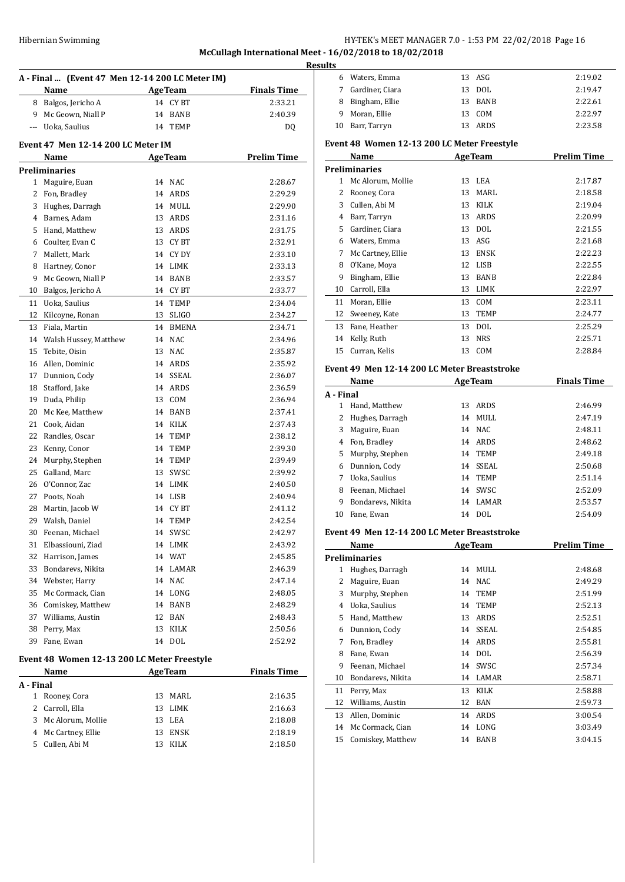## HY-TEK's MEET MANAGER 7.0 - 1:53 PM 22/02/2018 Page 16 **McCullagh International Meet - 16/02/2018 to 18/02/2018**

**Results**

| A - Final  (Event 47 Men 12-14 200 LC Meter IM) |                                             |    |                   |                    |  |
|-------------------------------------------------|---------------------------------------------|----|-------------------|--------------------|--|
|                                                 | Name                                        |    | <b>AgeTeam</b>    | <b>Finals Time</b> |  |
|                                                 | 8 Balgos, Jericho A                         |    | 14 CYBT           | 2:33.21            |  |
|                                                 | 9 Mc Geown, Niall P                         | 14 | <b>BANB</b>       | 2:40.39            |  |
| $\cdots$                                        | Uoka, Saulius                               | 14 | TEMP              | DQ                 |  |
|                                                 | <b>Event 47 Men 12-14 200 LC Meter IM</b>   |    |                   |                    |  |
|                                                 | Name                                        |    | <b>AgeTeam</b>    | <b>Prelim Time</b> |  |
|                                                 | <b>Preliminaries</b>                        |    |                   |                    |  |
| $\mathbf{1}$                                    | Maguire, Euan                               | 14 | <b>NAC</b>        | 2:28.67            |  |
| 2                                               | Fon, Bradley                                | 14 | ARDS              | 2:29.29            |  |
|                                                 | 3 Hughes, Darragh                           | 14 | MULL              | 2:29.90            |  |
|                                                 | 4 Barnes, Adam                              | 13 | ARDS              | 2:31.16            |  |
|                                                 | 5 Hand, Matthew                             |    | 13 ARDS           | 2:31.75            |  |
|                                                 | 6 Coulter, Evan C                           | 13 | CY BT             | 2:32.91            |  |
| 7                                               | Mallett, Mark                               |    | 14 CY DY          | 2:33.10            |  |
| 8                                               | Hartney, Conor                              |    | 14 LIMK           | 2:33.13            |  |
| 9                                               | Mc Geown, Niall P                           | 14 | BANB              | 2:33.57            |  |
| 10                                              | Balgos, Jericho A                           |    | 14 CYBT           | 2:33.77            |  |
| 11                                              | Uoka, Saulius                               | 14 | TEMP              | 2:34.04            |  |
| 12                                              | Kilcoyne, Ronan                             | 13 | <b>SLIGO</b>      | 2:34.27            |  |
| 13                                              | Fiala, Martin                               | 14 | <b>BMENA</b>      | 2:34.71            |  |
| 14                                              | Walsh Hussey, Matthew                       | 14 | <b>NAC</b>        | 2:34.96            |  |
| 15                                              | Tebite, Oisin                               | 13 | <b>NAC</b>        | 2:35.87            |  |
| 16                                              | Allen, Dominic                              | 14 | ARDS              | 2:35.92            |  |
| 17                                              | Dunnion, Cody                               | 14 | SSEAL             | 2:36.07            |  |
| 18                                              | Stafford, Jake                              | 14 | ARDS              | 2:36.59            |  |
| 19                                              | Duda, Philip                                | 13 | COM               | 2:36.94            |  |
| 20                                              | Mc Kee, Matthew                             |    | 14 BANB           | 2:37.41            |  |
| 21                                              | Cook, Aidan                                 |    | 14 KILK           | 2:37.43            |  |
| 22                                              | Randles, Oscar                              | 14 | TEMP              | 2:38.12            |  |
| 23                                              | Kenny, Conor                                | 14 | TEMP              | 2:39.30            |  |
| 24                                              | Murphy, Stephen                             | 14 | TEMP              | 2:39.49            |  |
| 25                                              | Galland, Marc                               | 13 | SWSC              | 2:39.92            |  |
| 26                                              | O'Connor, Zac                               |    | 14 LIMK           | 2:40.50            |  |
| 27                                              | Poots, Noah                                 |    | 14 LISB           | 2:40.94            |  |
| 28                                              | Martin, Jacob W                             | 14 | <b>CYBT</b>       | 2:41.12            |  |
| 29                                              | Walsh, Daniel                               | 14 | <b>TEMP</b>       | 2:42.54            |  |
|                                                 |                                             | 14 |                   |                    |  |
| 30                                              | Feenan, Michael                             |    | SWSC              | 2:42.97            |  |
| 31<br>32                                        | Elbassiouni, Ziad<br>Harrison, James        |    | 14 LIMK<br>14 WAT | 2:43.92            |  |
|                                                 | Bondarevs, Nikita                           |    |                   | 2:45.85            |  |
| 33                                              |                                             |    | 14 LAMAR          | 2:46.39<br>2:47.14 |  |
|                                                 | 34 Webster, Harry                           |    | 14 NAC            |                    |  |
|                                                 | 35 Mc Cormack, Cian                         |    | 14 LONG           | 2:48.05            |  |
|                                                 | 36 Comiskey, Matthew                        |    | 14 BANB           | 2:48.29<br>2:48.43 |  |
|                                                 | 37 Williams, Austin                         |    | 12 BAN            |                    |  |
| 38                                              | Perry, Max                                  | 13 | KILK              | 2:50.56            |  |
| 39                                              | Fane, Ewan                                  |    | 14 DOL            | 2:52.92            |  |
|                                                 | Event 48 Women 12-13 200 LC Meter Freestyle |    |                   |                    |  |
|                                                 | Name                                        |    | <b>AgeTeam</b>    | <b>Finals Time</b> |  |
| A - Final<br>1                                  |                                             |    |                   |                    |  |
| 2                                               | Rooney, Cora<br>Carroll, Ella               | 13 | 13 MARL<br>LIMK   | 2:16.35            |  |
|                                                 | 3 Mc Alorum, Mollie                         |    |                   | 2:16.63            |  |
|                                                 |                                             | 13 | LEA               | 2:18.08            |  |
|                                                 | 4 Mc Cartney, Ellie                         | 13 | ENSK              | 2:18.19            |  |
|                                                 | 5 Cullen, Abi M                             | 13 | KILK              | 2:18.50            |  |
|                                                 |                                             |    |                   |                    |  |

| 7            | Gardiner, Ciara                              | 13             | <b>DOL</b>     | 2:19.47            |
|--------------|----------------------------------------------|----------------|----------------|--------------------|
| 8            | Bingham, Ellie                               | 13             | BANB           | 2:22.61            |
| 9            | Moran, Ellie                                 | 13             | COM            | 2:22.97            |
|              | 10 Barr, Tarryn                              | 13             | ARDS           | 2:23.58            |
|              | Event 48 Women 12-13 200 LC Meter Freestyle  |                |                |                    |
|              | Name                                         |                | <b>AgeTeam</b> | <b>Prelim Time</b> |
|              | <b>Preliminaries</b>                         |                |                |                    |
|              | 1 Mc Alorum, Mollie                          |                | 13 LEA         | 2:17.87            |
|              | 2 Rooney, Cora                               |                | 13 MARL        | 2:18.58            |
|              | 3 Cullen, Abi M                              |                | 13 KILK        | 2:19.04            |
|              | 4 Barr, Tarryn                               |                | 13 ARDS        | 2:20.99            |
|              | 5 Gardiner, Ciara                            |                | 13 DOL         | 2:21.55            |
|              | 6 Waters, Emma                               |                | 13 ASG         | 2:21.68            |
| 7            | Mc Cartney, Ellie                            |                | 13 ENSK        | 2:22.23            |
| 8            | O'Kane, Moya                                 |                | 12 LISB        | 2:22.55            |
| 9            | Bingham, Ellie                               |                | 13 BANB        | 2:22.84            |
|              | 10 Carroll, Ella                             |                | 13 LIMK        | 2:22.97            |
|              | 11 Moran, Ellie                              |                | 13 COM         | 2:23.11            |
|              | 12 Sweeney, Kate                             | 13             | TEMP           | 2:24.77            |
|              | 13 Fane, Heather                             |                | 13 DOL         | 2:25.29            |
| 14           | Kelly, Ruth                                  | 13             | NRS            | 2:25.71            |
| 15           | Curran, Kelis                                | 13             | COM            | 2:28.84            |
|              | Event 49 Men 12-14 200 LC Meter Breaststroke |                |                |                    |
|              | Name                                         | <b>AgeTeam</b> |                | <b>Finals Time</b> |
| A - Final    |                                              |                |                |                    |
|              | 1 Hand, Matthew                              |                | 13 ARDS        | 2:46.99            |
|              | 2 Hughes, Darragh                            |                | 14 MULL        | 2:47.19            |
| 3            | Maguire, Euan                                |                | 14 NAC         | 2:48.11            |
|              | 4 Fon, Bradley                               |                | 14 ARDS        | 2:48.62            |
| 5            | Murphy, Stephen                              |                | 14 TEMP        | 2:49.18            |
| 6            | Dunnion, Cody                                |                | 14 SSEAL       | 2:50.68            |
|              | 7 Uoka, Saulius                              |                | 14 TEMP        | 2:51.14            |
|              | 8 Feenan, Michael                            |                | 14 SWSC        | 2:52.09            |
| 9            | Bondarevs, Nikita                            |                | 14 LAMAR       | 2:53.57            |
| 10           | Fane, Ewan                                   |                | 14 DOL         | 2:54.09            |
|              | Event 49 Men 12-14 200 LC Meter Breaststroke |                |                |                    |
|              | Name                                         |                | <b>AgeTeam</b> | <b>Prelim Time</b> |
|              | Preliminaries                                |                |                |                    |
| $\mathbf{1}$ | Hughes, Darragh                              |                | 14 MULL        | 2:48.68            |
| 2            | Maguire, Euan                                | 14             | <b>NAC</b>     | 2:49.29            |
| 3            | Murphy, Stephen                              | 14             | <b>TEMP</b>    | 2:51.99            |
| 4            | Uoka, Saulius                                |                | 14 TEMP        | 2:52.13            |
| 5            | Hand, Matthew                                | 13             | ARDS           | 2:52.51            |
| 6            | Dunnion, Cody                                | 14             | SSEAL          | 2:54.85            |
| 7            | Fon, Bradley                                 | 14             | ARDS           | 2:55.81            |
| 8            | Fane, Ewan                                   | 14             | <b>DOL</b>     | 2:56.39            |
| 9            | Feenan, Michael                              | 14             | SWSC           | 2:57.34            |
| 10           | Bondarevs, Nikita                            | 14             | LAMAR          | 2:58.71            |
| 11           | Perry, Max                                   | 13             | KILK           | 2:58.88            |
|              | Williams, Austin                             | 12             | BAN            | 2:59.73            |
| 12           |                                              |                | ARDS           | 3:00.54            |
|              |                                              |                |                |                    |
| 13           | Allen, Dominic                               | 14             |                |                    |
| 14<br>15     | Mc Cormack, Cian<br>Comiskey, Matthew        | 14<br>14       | LONG<br>BANB   | 3:03.49<br>3:04.15 |

Waters, Emma 13 ASG 2:19.02